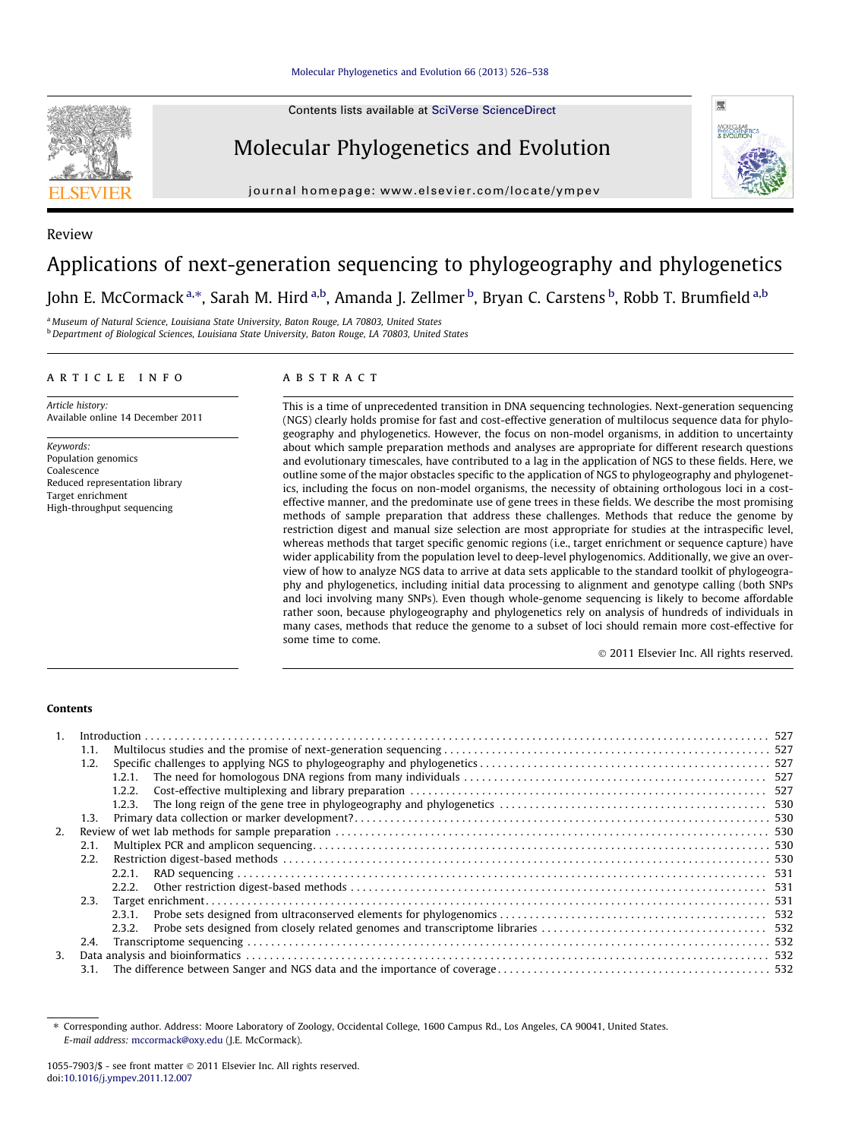Contents lists available at [SciVerse ScienceDirect](http://www.sciencedirect.com/science/journal/10557903)



# Molecular Phylogenetics and Evolution



journal homepage: [www.elsevier.com/locate/ympev](http://www.elsevier.com/locate/ympev)

# Review Applications of next-generation sequencing to phylogeography and phylogenetics John E. McCormack <sup>[a,](#page-0-0)</sup>\*, Sarah M. Hird <sup>[a,b](#page-0-0)</sup>, Amanda J. Zellmer <sup>[b](#page-0-0)</sup>, Bryan C. Carstens <sup>b</sup>, Robb T. Brumfield <sup>a,b</sup>

<sup>a</sup> Museum of Natural Science, Louisiana State University, Baton Rouge, LA 70803, United States <sup>b</sup> Department of Biological Sciences, Louisiana State University, Baton Rouge, LA 70803, United States

## article info

## **ABSTRACT**

Article history: Available online 14 December 2011

Keywords: Population genomics Coalescence Reduced representation library Target enrichment High-throughput sequencing

This is a time of unprecedented transition in DNA sequencing technologies. Next-generation sequencing (NGS) clearly holds promise for fast and cost-effective generation of multilocus sequence data for phylogeography and phylogenetics. However, the focus on non-model organisms, in addition to uncertainty about which sample preparation methods and analyses are appropriate for different research questions and evolutionary timescales, have contributed to a lag in the application of NGS to these fields. Here, we outline some of the major obstacles specific to the application of NGS to phylogeography and phylogenetics, including the focus on non-model organisms, the necessity of obtaining orthologous loci in a costeffective manner, and the predominate use of gene trees in these fields. We describe the most promising methods of sample preparation that address these challenges. Methods that reduce the genome by restriction digest and manual size selection are most appropriate for studies at the intraspecific level, whereas methods that target specific genomic regions (i.e., target enrichment or sequence capture) have wider applicability from the population level to deep-level phylogenomics. Additionally, we give an overview of how to analyze NGS data to arrive at data sets applicable to the standard toolkit of phylogeography and phylogenetics, including initial data processing to alignment and genotype calling (both SNPs and loci involving many SNPs). Even though whole-genome sequencing is likely to become affordable rather soon, because phylogeography and phylogenetics rely on analysis of hundreds of individuals in many cases, methods that reduce the genome to a subset of loci should remain more cost-effective for some time to come.

 $© 2011 Elsevier Inc. All rights reserved.$ 

### Contents

|    | 1.1.   |        |  |  |  |  |  |  |  |
|----|--------|--------|--|--|--|--|--|--|--|
|    | 1.2.   |        |  |  |  |  |  |  |  |
|    |        | 1.2.1. |  |  |  |  |  |  |  |
|    | 1.2.2. |        |  |  |  |  |  |  |  |
|    |        | 1.2.3. |  |  |  |  |  |  |  |
|    | 1.3.   |        |  |  |  |  |  |  |  |
| 2. |        |        |  |  |  |  |  |  |  |
|    | 2.1.   |        |  |  |  |  |  |  |  |
|    | 2.2.   |        |  |  |  |  |  |  |  |
|    |        | 2.2.1. |  |  |  |  |  |  |  |
|    | 2.2.2. |        |  |  |  |  |  |  |  |
|    | 2.3.   |        |  |  |  |  |  |  |  |
|    | 2.3.1. |        |  |  |  |  |  |  |  |
|    |        | 2.3.2. |  |  |  |  |  |  |  |
|    | 2.4.   |        |  |  |  |  |  |  |  |
| 3. |        |        |  |  |  |  |  |  |  |
|    | 3.1.   |        |  |  |  |  |  |  |  |

<span id="page-0-0"></span>⇑ Corresponding author. Address: Moore Laboratory of Zoology, Occidental College, 1600 Campus Rd., Los Angeles, CA 90041, United States. E-mail address: [mccormack@oxy.edu](mailto:mccormack@oxy.edu) (J.E. McCormack).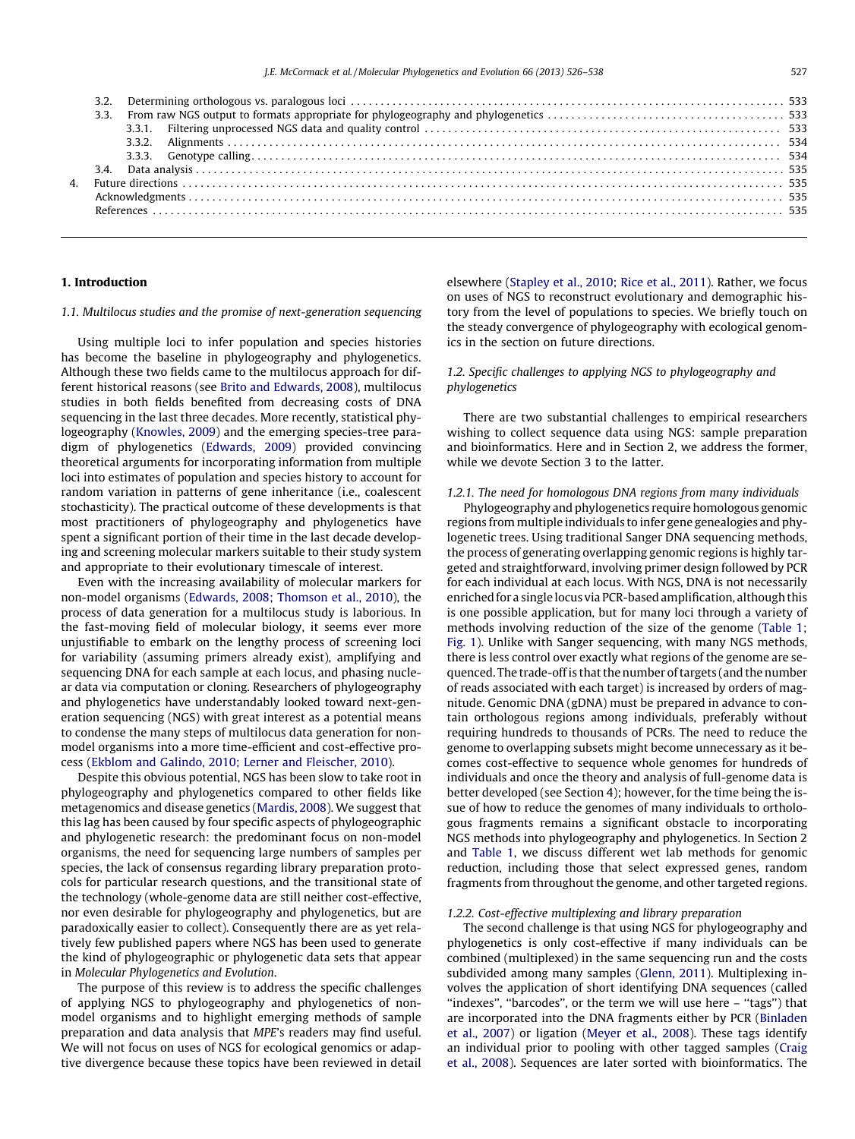## 1. Introduction

#### 1.1. Multilocus studies and the promise of next-generation sequencing

Using multiple loci to infer population and species histories has become the baseline in phylogeography and phylogenetics. Although these two fields came to the multilocus approach for different historical reasons (see [Brito and Edwards, 2008](#page-10-0)), multilocus studies in both fields benefited from decreasing costs of DNA sequencing in the last three decades. More recently, statistical phylogeography ([Knowles, 2009](#page-10-0)) and the emerging species-tree paradigm of phylogenetics ([Edwards, 2009](#page-10-0)) provided convincing theoretical arguments for incorporating information from multiple loci into estimates of population and species history to account for random variation in patterns of gene inheritance (i.e., coalescent stochasticity). The practical outcome of these developments is that most practitioners of phylogeography and phylogenetics have spent a significant portion of their time in the last decade developing and screening molecular markers suitable to their study system and appropriate to their evolutionary timescale of interest.

Even with the increasing availability of molecular markers for non-model organisms ([Edwards, 2008; Thomson et al., 2010\)](#page-10-0), the process of data generation for a multilocus study is laborious. In the fast-moving field of molecular biology, it seems ever more unjustifiable to embark on the lengthy process of screening loci for variability (assuming primers already exist), amplifying and sequencing DNA for each sample at each locus, and phasing nuclear data via computation or cloning. Researchers of phylogeography and phylogenetics have understandably looked toward next-generation sequencing (NGS) with great interest as a potential means to condense the many steps of multilocus data generation for nonmodel organisms into a more time-efficient and cost-effective process ([Ekblom and Galindo, 2010; Lerner and Fleischer, 2010](#page-10-0)).

Despite this obvious potential, NGS has been slow to take root in phylogeography and phylogenetics compared to other fields like metagenomics and disease genetics [\(Mardis, 2008\)](#page-11-0). We suggest that this lag has been caused by four specific aspects of phylogeographic and phylogenetic research: the predominant focus on non-model organisms, the need for sequencing large numbers of samples per species, the lack of consensus regarding library preparation protocols for particular research questions, and the transitional state of the technology (whole-genome data are still neither cost-effective, nor even desirable for phylogeography and phylogenetics, but are paradoxically easier to collect). Consequently there are as yet relatively few published papers where NGS has been used to generate the kind of phylogeographic or phylogenetic data sets that appear in Molecular Phylogenetics and Evolution.

The purpose of this review is to address the specific challenges of applying NGS to phylogeography and phylogenetics of nonmodel organisms and to highlight emerging methods of sample preparation and data analysis that MPE's readers may find useful. We will not focus on uses of NGS for ecological genomics or adaptive divergence because these topics have been reviewed in detail elsewhere [\(Stapley et al., 2010; Rice et al., 2011](#page-11-0)). Rather, we focus on uses of NGS to reconstruct evolutionary and demographic history from the level of populations to species. We briefly touch on the steady convergence of phylogeography with ecological genomics in the section on future directions.

## 1.2. Specific challenges to applying NGS to phylogeography and phylogenetics

There are two substantial challenges to empirical researchers wishing to collect sequence data using NGS: sample preparation and bioinformatics. Here and in Section 2, we address the former, while we devote Section 3 to the latter.

#### 1.2.1. The need for homologous DNA regions from many individuals

Phylogeography and phylogenetics require homologous genomic regions from multiple individuals to infer gene genealogies and phylogenetic trees. Using traditional Sanger DNA sequencing methods, the process of generating overlapping genomic regions is highly targeted and straightforward, involving primer design followed by PCR for each individual at each locus. With NGS, DNA is not necessarily enriched for a single locus via PCR-based amplification, although this is one possible application, but for many loci through a variety of methods involving reduction of the size of the genome [\(Table 1;](#page-2-0) [Fig. 1](#page-3-0)). Unlike with Sanger sequencing, with many NGS methods, there is less control over exactly what regions of the genome are sequenced. The trade-off is that the number of targets (and the number of reads associated with each target) is increased by orders of magnitude. Genomic DNA (gDNA) must be prepared in advance to contain orthologous regions among individuals, preferably without requiring hundreds to thousands of PCRs. The need to reduce the genome to overlapping subsets might become unnecessary as it becomes cost-effective to sequence whole genomes for hundreds of individuals and once the theory and analysis of full-genome data is better developed (see Section 4); however, for the time being the issue of how to reduce the genomes of many individuals to orthologous fragments remains a significant obstacle to incorporating NGS methods into phylogeography and phylogenetics. In Section 2 and [Table 1](#page-2-0), we discuss different wet lab methods for genomic reduction, including those that select expressed genes, random fragments from throughout the genome, and other targeted regions.

#### 1.2.2. Cost-effective multiplexing and library preparation

The second challenge is that using NGS for phylogeography and phylogenetics is only cost-effective if many individuals can be combined (multiplexed) in the same sequencing run and the costs subdivided among many samples [\(Glenn, 2011](#page-10-0)). Multiplexing involves the application of short identifying DNA sequences (called ''indexes'', ''barcodes'', or the term we will use here – ''tags'') that are incorporated into the DNA fragments either by PCR [\(Binladen](#page-10-0) [et al., 2007](#page-10-0)) or ligation ([Meyer et al., 2008](#page-11-0)). These tags identify an individual prior to pooling with other tagged samples [\(Craig](#page-10-0) [et al., 2008\)](#page-10-0). Sequences are later sorted with bioinformatics. The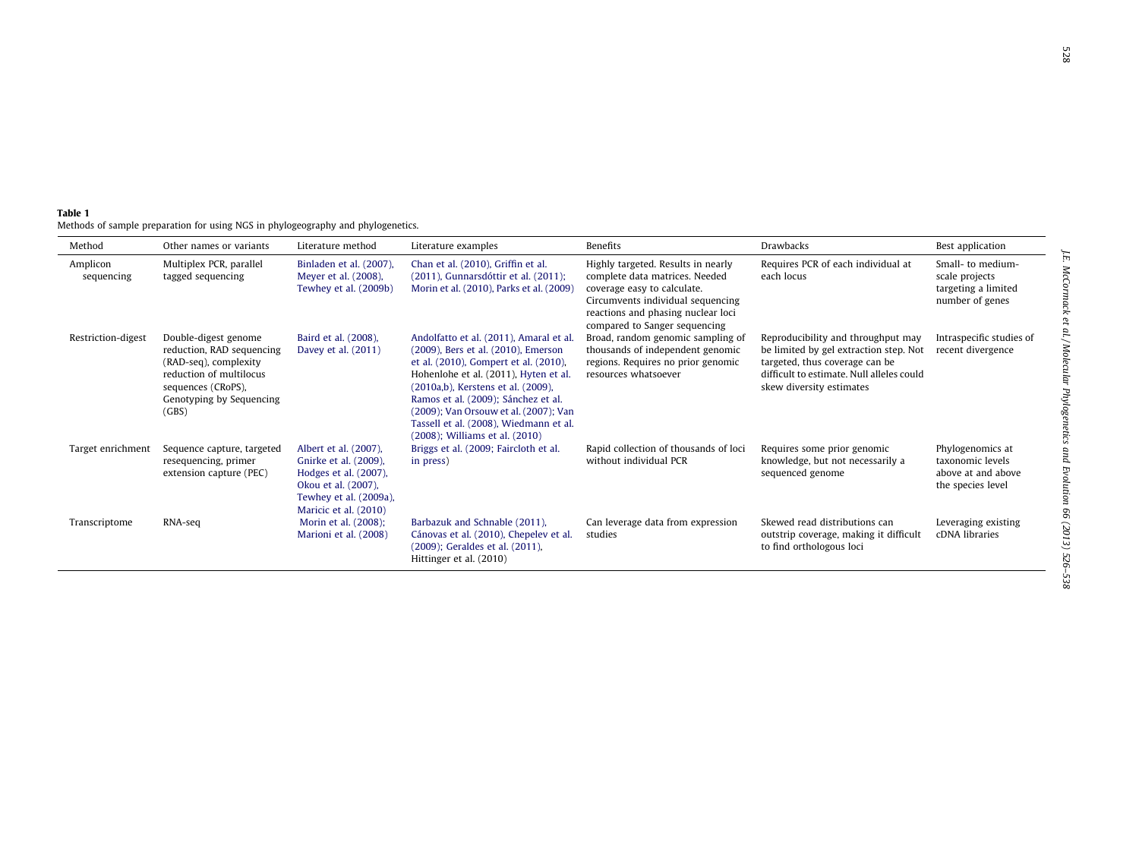# Methods of sample preparation for using NGS in phylogeography and phylogenetics.

<span id="page-2-0"></span>

| Method                 | Other names or variants                                                                                                                                          | Literature method                                                                                                                                 | Literature examples                                                                                                                                                                                                                                                                                                                                                | Benefits                                                                                                                                                                                                        | <b>Drawbacks</b>                                                                                                                                                                        | Best application                                                                |
|------------------------|------------------------------------------------------------------------------------------------------------------------------------------------------------------|---------------------------------------------------------------------------------------------------------------------------------------------------|--------------------------------------------------------------------------------------------------------------------------------------------------------------------------------------------------------------------------------------------------------------------------------------------------------------------------------------------------------------------|-----------------------------------------------------------------------------------------------------------------------------------------------------------------------------------------------------------------|-----------------------------------------------------------------------------------------------------------------------------------------------------------------------------------------|---------------------------------------------------------------------------------|
| Amplicon<br>sequencing | Multiplex PCR, parallel<br>tagged sequencing                                                                                                                     | Binladen et al. (2007),<br>Meyer et al. (2008),<br>Tewhey et al. (2009b)                                                                          | Chan et al. (2010), Griffin et al.<br>$(2011)$ , Gunnarsdóttir et al. $(2011)$ ;<br>Morin et al. (2010), Parks et al. (2009)                                                                                                                                                                                                                                       | Highly targeted. Results in nearly<br>complete data matrices. Needed<br>coverage easy to calculate.<br>Circumvents individual sequencing<br>reactions and phasing nuclear loci<br>compared to Sanger sequencing | Requires PCR of each individual at<br>each locus                                                                                                                                        | Small- to medium-<br>scale projects<br>targeting a limited<br>number of genes   |
| Restriction-digest     | Double-digest genome<br>reduction, RAD sequencing<br>(RAD-seq), complexity<br>reduction of multilocus<br>sequences (CRoPS),<br>Genotyping by Sequencing<br>(GBS) | Baird et al. (2008),<br>Davey et al. (2011)                                                                                                       | Andolfatto et al. (2011), Amaral et al.<br>(2009), Bers et al. (2010), Emerson<br>et al. (2010), Gompert et al. (2010),<br>Hohenlohe et al. (2011), Hyten et al.<br>(2010a,b), Kerstens et al. (2009),<br>Ramos et al. (2009); Sánchez et al.<br>(2009); Van Orsouw et al. (2007); Van<br>Tassell et al. (2008), Wiedmann et al.<br>(2008); Williams et al. (2010) | Broad, random genomic sampling of<br>thousands of independent genomic<br>regions. Requires no prior genomic<br>resources whatsoever                                                                             | Reproducibility and throughput may<br>be limited by gel extraction step. Not<br>targeted, thus coverage can be<br>difficult to estimate. Null alleles could<br>skew diversity estimates | Intraspecific studies of<br>recent divergence                                   |
| Target enrichment      | Sequence capture, targeted<br>resequencing, primer<br>extension capture (PEC)                                                                                    | Albert et al. (2007),<br>Gnirke et al. (2009),<br>Hodges et al. (2007),<br>Okou et al. (2007),<br>Tewhey et al. (2009a),<br>Maricic et al. (2010) | Briggs et al. (2009; Faircloth et al.<br>in press)                                                                                                                                                                                                                                                                                                                 | Rapid collection of thousands of loci<br>without individual PCR                                                                                                                                                 | Requires some prior genomic<br>knowledge, but not necessarily a<br>sequenced genome                                                                                                     | Phylogenomics at<br>taxonomic levels<br>above at and above<br>the species level |
| Transcriptome          | RNA-seq                                                                                                                                                          | Morin et al. (2008);<br>Marioni et al. (2008)                                                                                                     | Barbazuk and Schnable (2011),<br>Cánovas et al. (2010), Chepelev et al.<br>(2009); Geraldes et al. (2011),<br>Hittinger et al. (2010)                                                                                                                                                                                                                              | Can leverage data from expression<br>studies                                                                                                                                                                    | Skewed read distributions can<br>outstrip coverage, making it difficult<br>to find orthologous loci                                                                                     | Leveraging existing<br>cDNA libraries                                           |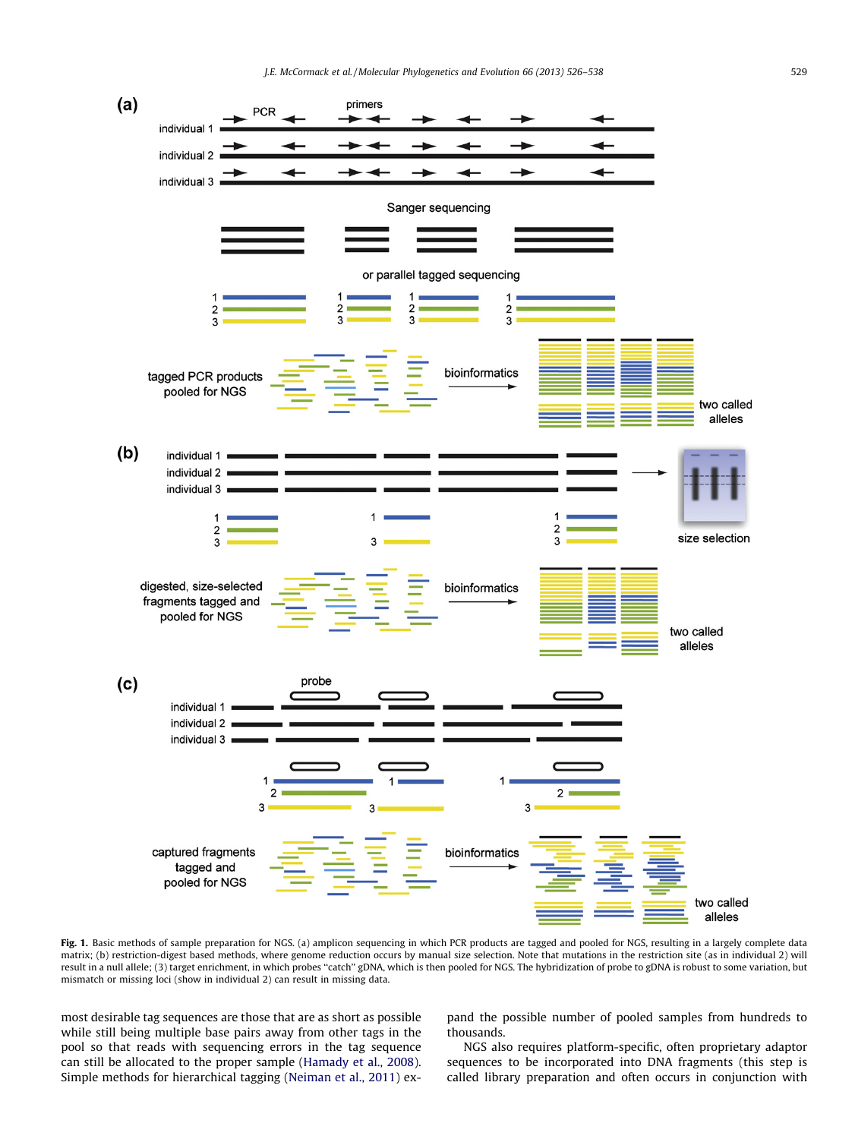

Fig. 1. Basic methods of sample preparation for NGS. (a) amplicon sequencing in which PCR products are tagged and pooled for NGS, resulting in a largely complete data matrix; (b) restriction-digest based methods, where genome reduction occurs by manual size selection. Note that mutations in the restriction site (as in individual 2) will result in a null allele; (3) target enrichment, in which probes ''catch'' gDNA, which is then pooled for NGS. The hybridization of probe to gDNA is robust to some variation, but mismatch or missing loci (show in individual 2) can result in missing data.

<span id="page-3-0"></span>most desirable tag sequences are those that are as short as possible while still being multiple base pairs away from other tags in the pool so that reads with sequencing errors in the tag sequence can still be allocated to the proper sample ([Hamady et al., 2008\)](#page-10-0). Simple methods for hierarchical tagging [\(Neiman et al., 2011\)](#page-11-0) expand the possible number of pooled samples from hundreds to thousands.

NGS also requires platform-specific, often proprietary adaptor sequences to be incorporated into DNA fragments (this step is called library preparation and often occurs in conjunction with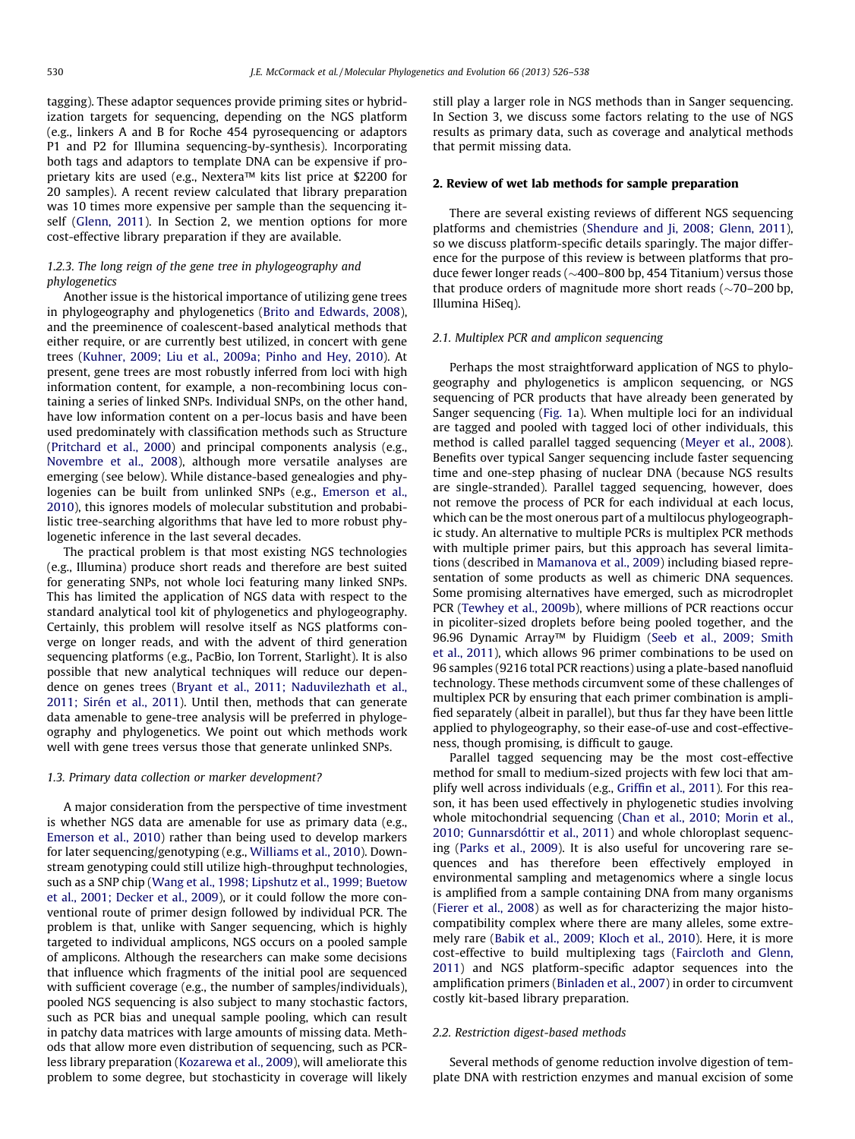tagging). These adaptor sequences provide priming sites or hybridization targets for sequencing, depending on the NGS platform (e.g., linkers A and B for Roche 454 pyrosequencing or adaptors P1 and P2 for Illumina sequencing-by-synthesis). Incorporating both tags and adaptors to template DNA can be expensive if proprietary kits are used (e.g., Nextera™ kits list price at \$2200 for 20 samples). A recent review calculated that library preparation was 10 times more expensive per sample than the sequencing itself [\(Glenn, 2011\)](#page-10-0). In Section 2, we mention options for more cost-effective library preparation if they are available.

## 1.2.3. The long reign of the gene tree in phylogeography and phylogenetics

Another issue is the historical importance of utilizing gene trees in phylogeography and phylogenetics [\(Brito and Edwards, 2008\)](#page-10-0), and the preeminence of coalescent-based analytical methods that either require, or are currently best utilized, in concert with gene trees ([Kuhner, 2009; Liu et al., 2009a; Pinho and Hey, 2010\)](#page-11-0). At present, gene trees are most robustly inferred from loci with high information content, for example, a non-recombining locus containing a series of linked SNPs. Individual SNPs, on the other hand, have low information content on a per-locus basis and have been used predominately with classification methods such as Structure ([Pritchard et al., 2000](#page-11-0)) and principal components analysis (e.g., [Novembre et al., 2008](#page-11-0)), although more versatile analyses are emerging (see below). While distance-based genealogies and phylogenies can be built from unlinked SNPs (e.g., [Emerson et al.,](#page-10-0) [2010\)](#page-10-0), this ignores models of molecular substitution and probabilistic tree-searching algorithms that have led to more robust phylogenetic inference in the last several decades.

The practical problem is that most existing NGS technologies (e.g., Illumina) produce short reads and therefore are best suited for generating SNPs, not whole loci featuring many linked SNPs. This has limited the application of NGS data with respect to the standard analytical tool kit of phylogenetics and phylogeography. Certainly, this problem will resolve itself as NGS platforms converge on longer reads, and with the advent of third generation sequencing platforms (e.g., PacBio, Ion Torrent, Starlight). It is also possible that new analytical techniques will reduce our dependence on genes trees [\(Bryant et al., 2011; Naduvilezhath et al.,](#page-10-0) [2011; Sirén et al., 2011](#page-10-0)). Until then, methods that can generate data amenable to gene-tree analysis will be preferred in phylogeography and phylogenetics. We point out which methods work well with gene trees versus those that generate unlinked SNPs.

#### 1.3. Primary data collection or marker development?

A major consideration from the perspective of time investment is whether NGS data are amenable for use as primary data (e.g., [Emerson et al., 2010\)](#page-10-0) rather than being used to develop markers for later sequencing/genotyping (e.g., [Williams et al., 2010](#page-12-0)). Downstream genotyping could still utilize high-throughput technologies, such as a SNP chip ([Wang et al., 1998; Lipshutz et al., 1999; Buetow](#page-12-0) [et al., 2001; Decker et al., 2009](#page-12-0)), or it could follow the more conventional route of primer design followed by individual PCR. The problem is that, unlike with Sanger sequencing, which is highly targeted to individual amplicons, NGS occurs on a pooled sample of amplicons. Although the researchers can make some decisions that influence which fragments of the initial pool are sequenced with sufficient coverage (e.g., the number of samples/individuals), pooled NGS sequencing is also subject to many stochastic factors, such as PCR bias and unequal sample pooling, which can result in patchy data matrices with large amounts of missing data. Methods that allow more even distribution of sequencing, such as PCRless library preparation ([Kozarewa et al., 2009](#page-11-0)), will ameliorate this problem to some degree, but stochasticity in coverage will likely still play a larger role in NGS methods than in Sanger sequencing. In Section 3, we discuss some factors relating to the use of NGS results as primary data, such as coverage and analytical methods that permit missing data.

#### 2. Review of wet lab methods for sample preparation

There are several existing reviews of different NGS sequencing platforms and chemistries [\(Shendure and Ji, 2008; Glenn, 2011\)](#page-11-0), so we discuss platform-specific details sparingly. The major difference for the purpose of this review is between platforms that produce fewer longer reads ( $\sim$ 400–800 bp, 454 Titanium) versus those that produce orders of magnitude more short reads  $(\sim 70-200$  bp, Illumina HiSeq).

### 2.1. Multiplex PCR and amplicon sequencing

Perhaps the most straightforward application of NGS to phylogeography and phylogenetics is amplicon sequencing, or NGS sequencing of PCR products that have already been generated by Sanger sequencing ([Fig. 1a](#page-3-0)). When multiple loci for an individual are tagged and pooled with tagged loci of other individuals, this method is called parallel tagged sequencing ([Meyer et al., 2008\)](#page-11-0). Benefits over typical Sanger sequencing include faster sequencing time and one-step phasing of nuclear DNA (because NGS results are single-stranded). Parallel tagged sequencing, however, does not remove the process of PCR for each individual at each locus, which can be the most onerous part of a multilocus phylogeographic study. An alternative to multiple PCRs is multiplex PCR methods with multiple primer pairs, but this approach has several limitations (described in [Mamanova et al., 2009\)](#page-11-0) including biased representation of some products as well as chimeric DNA sequences. Some promising alternatives have emerged, such as microdroplet PCR ([Tewhey et al., 2009b\)](#page-11-0), where millions of PCR reactions occur in picoliter-sized droplets before being pooled together, and the 96.96 Dynamic Array<sup>™</sup> by Fluidigm [\(Seeb et al., 2009; Smith](#page-11-0) [et al., 2011](#page-11-0)), which allows 96 primer combinations to be used on 96 samples (9216 total PCR reactions) using a plate-based nanofluid technology. These methods circumvent some of these challenges of multiplex PCR by ensuring that each primer combination is amplified separately (albeit in parallel), but thus far they have been little applied to phylogeography, so their ease-of-use and cost-effectiveness, though promising, is difficult to gauge.

Parallel tagged sequencing may be the most cost-effective method for small to medium-sized projects with few loci that amplify well across individuals (e.g., [Griffin et al., 2011\)](#page-10-0). For this reason, it has been used effectively in phylogenetic studies involving whole mitochondrial sequencing ([Chan et al., 2010; Morin et al.,](#page-10-0) [2010; Gunnarsdóttir et al., 2011\)](#page-10-0) and whole chloroplast sequencing [\(Parks et al., 2009\)](#page-11-0). It is also useful for uncovering rare sequences and has therefore been effectively employed in environmental sampling and metagenomics where a single locus is amplified from a sample containing DNA from many organisms ([Fierer et al., 2008](#page-10-0)) as well as for characterizing the major histocompatibility complex where there are many alleles, some extremely rare ([Babik et al., 2009; Kloch et al., 2010](#page-9-1)). Here, it is more cost-effective to build multiplexing tags [\(Faircloth and Glenn,](#page-10-0) [2011\)](#page-10-0) and NGS platform-specific adaptor sequences into the amplification primers [\(Binladen et al., 2007\)](#page-10-0) in order to circumvent costly kit-based library preparation.

## 2.2. Restriction digest-based methods

Several methods of genome reduction involve digestion of template DNA with restriction enzymes and manual excision of some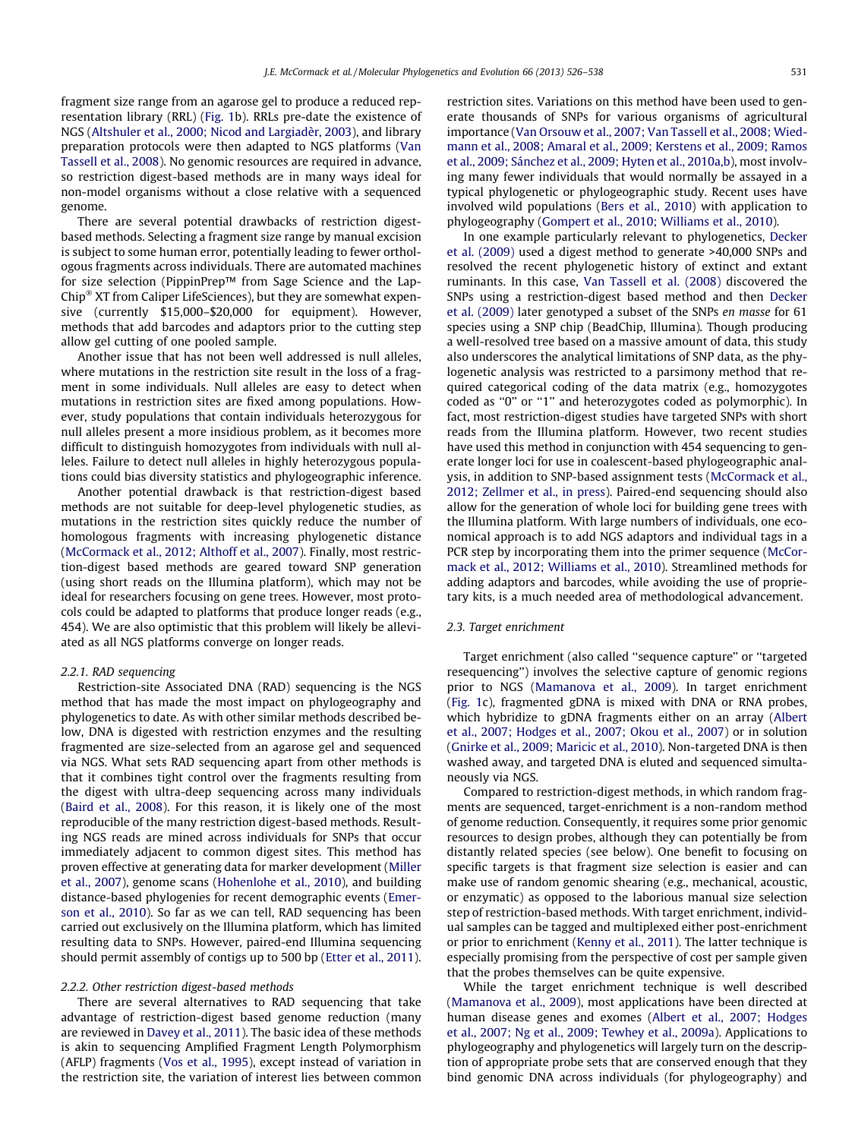fragment size range from an agarose gel to produce a reduced representation library (RRL) ([Fig. 1b](#page-3-0)). RRLs pre-date the existence of NGS ([Altshuler et al., 2000; Nicod and Largiadèr, 2003](#page-9-1)), and library preparation protocols were then adapted to NGS platforms ([Van](#page-11-0) [Tassell et al., 2008](#page-11-0)). No genomic resources are required in advance, so restriction digest-based methods are in many ways ideal for non-model organisms without a close relative with a sequenced genome.

There are several potential drawbacks of restriction digestbased methods. Selecting a fragment size range by manual excision is subject to some human error, potentially leading to fewer orthologous fragments across individuals. There are automated machines for size selection (PippinPrep™ from Sage Science and the Lap-Chip" XT from Caliper LifeSciences), but they are somewhat expensive (currently \$15,000–\$20,000 for equipment). However, methods that add barcodes and adaptors prior to the cutting step allow gel cutting of one pooled sample.

Another issue that has not been well addressed is null alleles, where mutations in the restriction site result in the loss of a fragment in some individuals. Null alleles are easy to detect when mutations in restriction sites are fixed among populations. However, study populations that contain individuals heterozygous for null alleles present a more insidious problem, as it becomes more difficult to distinguish homozygotes from individuals with null alleles. Failure to detect null alleles in highly heterozygous populations could bias diversity statistics and phylogeographic inference.

Another potential drawback is that restriction-digest based methods are not suitable for deep-level phylogenetic studies, as mutations in the restriction sites quickly reduce the number of homologous fragments with increasing phylogenetic distance ([McCormack et al., 2012; Althoff et al., 2007\)](#page-11-0). Finally, most restriction-digest based methods are geared toward SNP generation (using short reads on the Illumina platform), which may not be ideal for researchers focusing on gene trees. However, most protocols could be adapted to platforms that produce longer reads (e.g., 454). We are also optimistic that this problem will likely be alleviated as all NGS platforms converge on longer reads.

### 2.2.1. RAD sequencing

Restriction-site Associated DNA (RAD) sequencing is the NGS method that has made the most impact on phylogeography and phylogenetics to date. As with other similar methods described below, DNA is digested with restriction enzymes and the resulting fragmented are size-selected from an agarose gel and sequenced via NGS. What sets RAD sequencing apart from other methods is that it combines tight control over the fragments resulting from the digest with ultra-deep sequencing across many individuals ([Baird et al., 2008](#page-9-1)). For this reason, it is likely one of the most reproducible of the many restriction digest-based methods. Resulting NGS reads are mined across individuals for SNPs that occur immediately adjacent to common digest sites. This method has proven effective at generating data for marker development ([Miller](#page-11-0) [et al., 2007\)](#page-11-0), genome scans ([Hohenlohe et al., 2010\)](#page-10-0), and building distance-based phylogenies for recent demographic events ([Emer](#page-10-0)[son et al., 2010\)](#page-10-0). So far as we can tell, RAD sequencing has been carried out exclusively on the Illumina platform, which has limited resulting data to SNPs. However, paired-end Illumina sequencing should permit assembly of contigs up to 500 bp ([Etter et al., 2011\)](#page-10-0).

#### 2.2.2. Other restriction digest-based methods

There are several alternatives to RAD sequencing that take advantage of restriction-digest based genome reduction (many are reviewed in [Davey et al., 2011](#page-10-0)). The basic idea of these methods is akin to sequencing Amplified Fragment Length Polymorphism (AFLP) fragments ([Vos et al., 1995](#page-12-0)), except instead of variation in the restriction site, the variation of interest lies between common restriction sites. Variations on this method have been used to generate thousands of SNPs for various organisms of agricultural importance [\(Van Orsouw et al., 2007; Van Tassell et al., 2008; Wied](#page-11-0)[mann et al., 2008; Amaral et al., 2009; Kerstens et al., 2009; Ramos](#page-11-0) [et al., 2009; Sánchez et al., 2009; Hyten et al., 2010a,b\)](#page-11-0), most involving many fewer individuals that would normally be assayed in a typical phylogenetic or phylogeographic study. Recent uses have involved wild populations ([Bers et al., 2010](#page-10-0)) with application to phylogeography ([Gompert et al., 2010; Williams et al., 2010](#page-10-0)).

In one example particularly relevant to phylogenetics, [Decker](#page-10-0) [et al. \(2009\)](#page-10-0) used a digest method to generate >40,000 SNPs and resolved the recent phylogenetic history of extinct and extant ruminants. In this case, [Van Tassell et al. \(2008\)](#page-11-0) discovered the SNPs using a restriction-digest based method and then [Decker](#page-10-0) [et al. \(2009\)](#page-10-0) later genotyped a subset of the SNPs en masse for 61 species using a SNP chip (BeadChip, Illumina). Though producing a well-resolved tree based on a massive amount of data, this study also underscores the analytical limitations of SNP data, as the phylogenetic analysis was restricted to a parsimony method that required categorical coding of the data matrix (e.g., homozygotes coded as ''0'' or ''1'' and heterozygotes coded as polymorphic). In fact, most restriction-digest studies have targeted SNPs with short reads from the Illumina platform. However, two recent studies have used this method in conjunction with 454 sequencing to generate longer loci for use in coalescent-based phylogeographic analysis, in addition to SNP-based assignment tests [\(McCormack et al.,](#page-11-0) [2012; Zellmer et al., in press\)](#page-11-0). Paired-end sequencing should also allow for the generation of whole loci for building gene trees with the Illumina platform. With large numbers of individuals, one economical approach is to add NGS adaptors and individual tags in a PCR step by incorporating them into the primer sequence ([McCor](#page-11-0)[mack et al., 2012; Williams et al., 2010\)](#page-11-0). Streamlined methods for adding adaptors and barcodes, while avoiding the use of proprietary kits, is a much needed area of methodological advancement.

#### 2.3. Target enrichment

Target enrichment (also called ''sequence capture'' or ''targeted resequencing'') involves the selective capture of genomic regions prior to NGS [\(Mamanova et al., 2009\)](#page-11-0). In target enrichment ([Fig. 1](#page-3-0)c), fragmented gDNA is mixed with DNA or RNA probes, which hybridize to gDNA fragments either on an array [\(Albert](#page-9-1) [et al., 2007; Hodges et al., 2007; Okou et al., 2007\)](#page-9-1) or in solution ([Gnirke et al., 2009; Maricic et al., 2010\)](#page-10-0). Non-targeted DNA is then washed away, and targeted DNA is eluted and sequenced simultaneously via NGS.

Compared to restriction-digest methods, in which random fragments are sequenced, target-enrichment is a non-random method of genome reduction. Consequently, it requires some prior genomic resources to design probes, although they can potentially be from distantly related species (see below). One benefit to focusing on specific targets is that fragment size selection is easier and can make use of random genomic shearing (e.g., mechanical, acoustic, or enzymatic) as opposed to the laborious manual size selection step of restriction-based methods. With target enrichment, individual samples can be tagged and multiplexed either post-enrichment or prior to enrichment [\(Kenny et al., 2011](#page-10-0)). The latter technique is especially promising from the perspective of cost per sample given that the probes themselves can be quite expensive.

While the target enrichment technique is well described ([Mamanova et al., 2009\)](#page-11-0), most applications have been directed at human disease genes and exomes ([Albert et al., 2007; Hodges](#page-9-1) [et al., 2007; Ng et al., 2009; Tewhey et al., 2009a\)](#page-9-1). Applications to phylogeography and phylogenetics will largely turn on the description of appropriate probe sets that are conserved enough that they bind genomic DNA across individuals (for phylogeography) and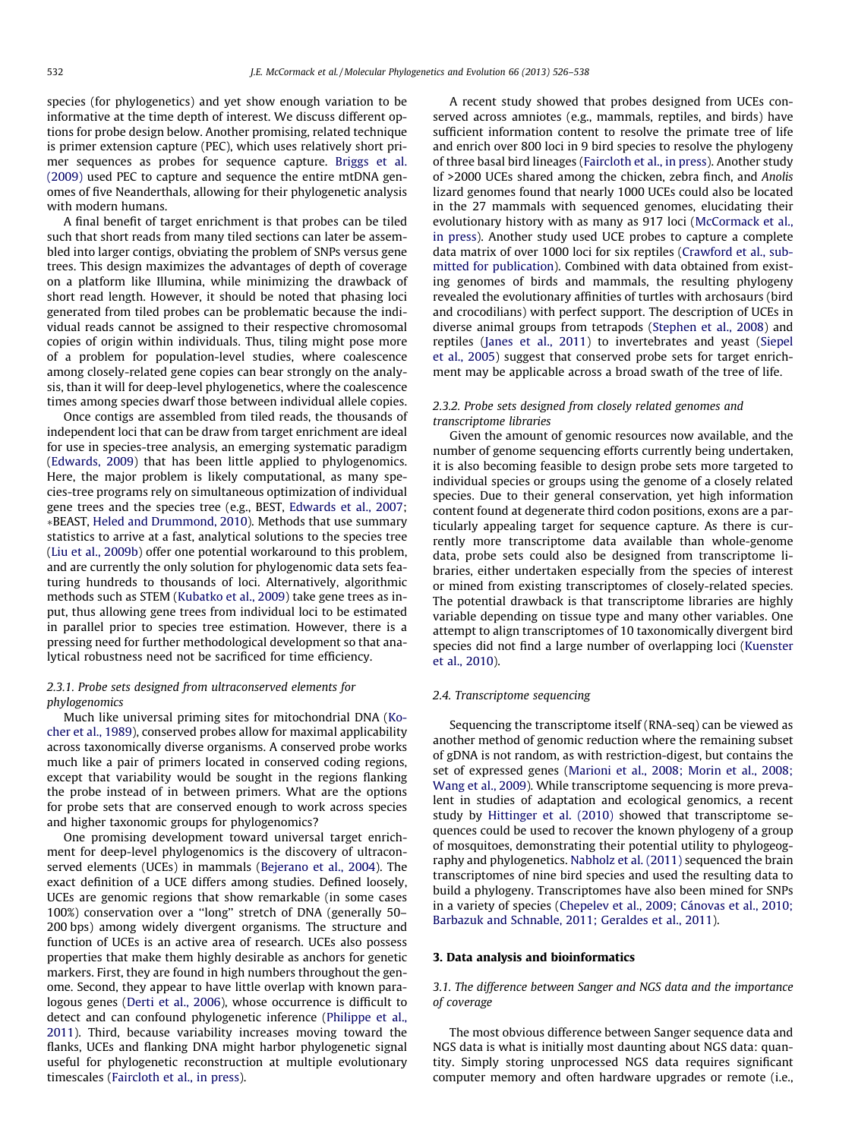species (for phylogenetics) and yet show enough variation to be informative at the time depth of interest. We discuss different options for probe design below. Another promising, related technique is primer extension capture (PEC), which uses relatively short primer sequences as probes for sequence capture. [Briggs et al.](#page-10-0) [\(2009\)](#page-10-0) used PEC to capture and sequence the entire mtDNA genomes of five Neanderthals, allowing for their phylogenetic analysis with modern humans.

A final benefit of target enrichment is that probes can be tiled such that short reads from many tiled sections can later be assembled into larger contigs, obviating the problem of SNPs versus gene trees. This design maximizes the advantages of depth of coverage on a platform like Illumina, while minimizing the drawback of short read length. However, it should be noted that phasing loci generated from tiled probes can be problematic because the individual reads cannot be assigned to their respective chromosomal copies of origin within individuals. Thus, tiling might pose more of a problem for population-level studies, where coalescence among closely-related gene copies can bear strongly on the analysis, than it will for deep-level phylogenetics, where the coalescence times among species dwarf those between individual allele copies.

Once contigs are assembled from tiled reads, the thousands of independent loci that can be draw from target enrichment are ideal for use in species-tree analysis, an emerging systematic paradigm ([Edwards, 2009](#page-10-0)) that has been little applied to phylogenomics. Here, the major problem is likely computational, as many species-tree programs rely on simultaneous optimization of individual gene trees and the species tree (e.g., BEST, [Edwards et al., 2007;](#page-10-0) "BEAST, [Heled and Drummond, 2010](#page-10-0)). Methods that use summary statistics to arrive at a fast, analytical solutions to the species tree ([Liu et al., 2009b](#page-11-0)) offer one potential workaround to this problem, and are currently the only solution for phylogenomic data sets featuring hundreds to thousands of loci. Alternatively, algorithmic methods such as STEM ([Kubatko et al., 2009\)](#page-11-0) take gene trees as input, thus allowing gene trees from individual loci to be estimated in parallel prior to species tree estimation. However, there is a pressing need for further methodological development so that analytical robustness need not be sacrificed for time efficiency.

## 2.3.1. Probe sets designed from ultraconserved elements for phylogenomics

Much like universal priming sites for mitochondrial DNA ([Ko](#page-11-0)[cher et al., 1989](#page-11-0)), conserved probes allow for maximal applicability across taxonomically diverse organisms. A conserved probe works much like a pair of primers located in conserved coding regions, except that variability would be sought in the regions flanking the probe instead of in between primers. What are the options for probe sets that are conserved enough to work across species and higher taxonomic groups for phylogenomics?

One promising development toward universal target enrichment for deep-level phylogenomics is the discovery of ultraconserved elements (UCEs) in mammals ([Bejerano et al., 2004\)](#page-9-1). The exact definition of a UCE differs among studies. Defined loosely, UCEs are genomic regions that show remarkable (in some cases 100%) conservation over a ''long'' stretch of DNA (generally 50– 200 bps) among widely divergent organisms. The structure and function of UCEs is an active area of research. UCEs also possess properties that make them highly desirable as anchors for genetic markers. First, they are found in high numbers throughout the genome. Second, they appear to have little overlap with known paralogous genes [\(Derti et al., 2006\)](#page-10-0), whose occurrence is difficult to detect and can confound phylogenetic inference ([Philippe et al.,](#page-11-0) [2011\)](#page-11-0). Third, because variability increases moving toward the flanks, UCEs and flanking DNA might harbor phylogenetic signal useful for phylogenetic reconstruction at multiple evolutionary timescales [\(Faircloth et al., in press\)](#page-10-0).

A recent study showed that probes designed from UCEs conserved across amniotes (e.g., mammals, reptiles, and birds) have sufficient information content to resolve the primate tree of life and enrich over 800 loci in 9 bird species to resolve the phylogeny of three basal bird lineages ([Faircloth et al., in press\)](#page-10-0). Another study of >2000 UCEs shared among the chicken, zebra finch, and Anolis lizard genomes found that nearly 1000 UCEs could also be located in the 27 mammals with sequenced genomes, elucidating their evolutionary history with as many as 917 loci [\(McCormack et al.,](#page-11-0) [in press](#page-11-0)). Another study used UCE probes to capture a complete data matrix of over 1000 loci for six reptiles [\(Crawford et al., sub](#page-10-0)[mitted for publication\)](#page-10-0). Combined with data obtained from existing genomes of birds and mammals, the resulting phylogeny revealed the evolutionary affinities of turtles with archosaurs (bird and crocodilians) with perfect support. The description of UCEs in diverse animal groups from tetrapods ([Stephen et al., 2008](#page-11-0)) and reptiles ([Janes et al., 2011\)](#page-10-0) to invertebrates and yeast [\(Siepel](#page-11-0) [et al., 2005](#page-11-0)) suggest that conserved probe sets for target enrichment may be applicable across a broad swath of the tree of life.

## 2.3.2. Probe sets designed from closely related genomes and transcriptome libraries

Given the amount of genomic resources now available, and the number of genome sequencing efforts currently being undertaken, it is also becoming feasible to design probe sets more targeted to individual species or groups using the genome of a closely related species. Due to their general conservation, yet high information content found at degenerate third codon positions, exons are a particularly appealing target for sequence capture. As there is currently more transcriptome data available than whole-genome data, probe sets could also be designed from transcriptome libraries, either undertaken especially from the species of interest or mined from existing transcriptomes of closely-related species. The potential drawback is that transcriptome libraries are highly variable depending on tissue type and many other variables. One attempt to align transcriptomes of 10 taxonomically divergent bird species did not find a large number of overlapping loci [\(Kuenster](#page-11-0) [et al., 2010\)](#page-11-0).

## 2.4. Transcriptome sequencing

Sequencing the transcriptome itself (RNA-seq) can be viewed as another method of genomic reduction where the remaining subset of gDNA is not random, as with restriction-digest, but contains the set of expressed genes [\(Marioni et al., 2008; Morin et al., 2008;](#page-11-0) [Wang et al., 2009\)](#page-11-0). While transcriptome sequencing is more prevalent in studies of adaptation and ecological genomics, a recent study by [Hittinger et al. \(2010\)](#page-10-0) showed that transcriptome sequences could be used to recover the known phylogeny of a group of mosquitoes, demonstrating their potential utility to phylogeography and phylogenetics. [Nabholz et al. \(2011\)](#page-11-0) sequenced the brain transcriptomes of nine bird species and used the resulting data to build a phylogeny. Transcriptomes have also been mined for SNPs in a variety of species ([Chepelev et al., 2009; Cánovas et al., 2010;](#page-10-0) [Barbazuk and Schnable, 2011; Geraldes et al., 2011\)](#page-10-0).

#### 3. Data analysis and bioinformatics

## 3.1. The difference between Sanger and NGS data and the importance of coverage

The most obvious difference between Sanger sequence data and NGS data is what is initially most daunting about NGS data: quantity. Simply storing unprocessed NGS data requires significant computer memory and often hardware upgrades or remote (i.e.,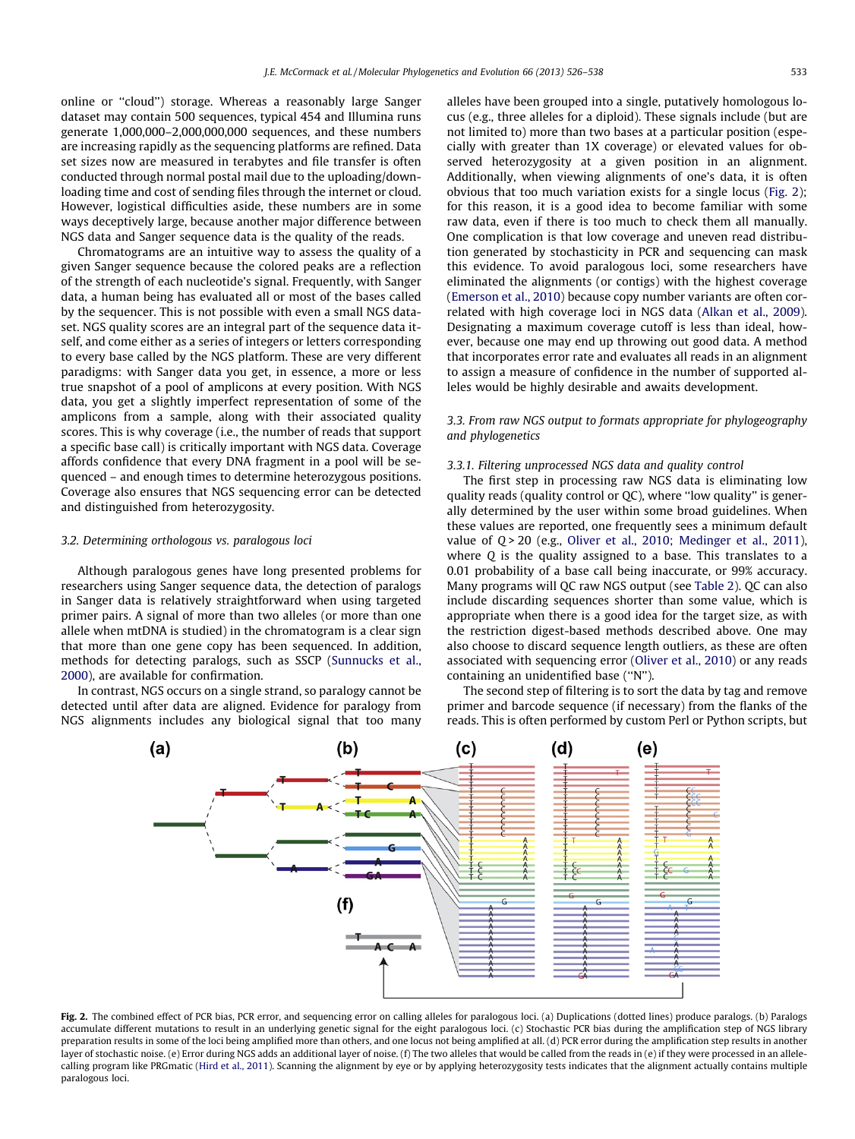online or ''cloud'') storage. Whereas a reasonably large Sanger dataset may contain 500 sequences, typical 454 and Illumina runs generate 1,000,000–2,000,000,000 sequences, and these numbers are increasing rapidly as the sequencing platforms are refined. Data set sizes now are measured in terabytes and file transfer is often conducted through normal postal mail due to the uploading/downloading time and cost of sending files through the internet or cloud. However, logistical difficulties aside, these numbers are in some ways deceptively large, because another major difference between NGS data and Sanger sequence data is the quality of the reads.

Chromatograms are an intuitive way to assess the quality of a given Sanger sequence because the colored peaks are a reflection of the strength of each nucleotide's signal. Frequently, with Sanger data, a human being has evaluated all or most of the bases called by the sequencer. This is not possible with even a small NGS dataset. NGS quality scores are an integral part of the sequence data itself, and come either as a series of integers or letters corresponding to every base called by the NGS platform. These are very different paradigms: with Sanger data you get, in essence, a more or less true snapshot of a pool of amplicons at every position. With NGS data, you get a slightly imperfect representation of some of the amplicons from a sample, along with their associated quality scores. This is why coverage (i.e., the number of reads that support a specific base call) is critically important with NGS data. Coverage affords confidence that every DNA fragment in a pool will be sequenced – and enough times to determine heterozygous positions. Coverage also ensures that NGS sequencing error can be detected and distinguished from heterozygosity.

#### 3.2. Determining orthologous vs. paralogous loci

Although paralogous genes have long presented problems for researchers using Sanger sequence data, the detection of paralogs in Sanger data is relatively straightforward when using targeted primer pairs. A signal of more than two alleles (or more than one allele when mtDNA is studied) in the chromatogram is a clear sign that more than one gene copy has been sequenced. In addition, methods for detecting paralogs, such as SSCP [\(Sunnucks et al.,](#page-11-0) [2000](#page-11-0)), are available for confirmation.

In contrast, NGS occurs on a single strand, so paralogy cannot be detected until after data are aligned. Evidence for paralogy from NGS alignments includes any biological signal that too many alleles have been grouped into a single, putatively homologous locus (e.g., three alleles for a diploid). These signals include (but are not limited to) more than two bases at a particular position (especially with greater than 1X coverage) or elevated values for observed heterozygosity at a given position in an alignment. Additionally, when viewing alignments of one's data, it is often obvious that too much variation exists for a single locus ([Fig. 2\)](#page-7-0); for this reason, it is a good idea to become familiar with some raw data, even if there is too much to check them all manually. One complication is that low coverage and uneven read distribution generated by stochasticity in PCR and sequencing can mask this evidence. To avoid paralogous loci, some researchers have eliminated the alignments (or contigs) with the highest coverage ([Emerson et al., 2010\)](#page-10-0) because copy number variants are often correlated with high coverage loci in NGS data [\(Alkan et al., 2009\)](#page-9-1). Designating a maximum coverage cutoff is less than ideal, however, because one may end up throwing out good data. A method that incorporates error rate and evaluates all reads in an alignment to assign a measure of confidence in the number of supported alleles would be highly desirable and awaits development.

## 3.3. From raw NGS output to formats appropriate for phylogeography and phylogenetics

## 3.3.1. Filtering unprocessed NGS data and quality control

The first step in processing raw NGS data is eliminating low quality reads (quality control or QC), where ''low quality'' is generally determined by the user within some broad guidelines. When these values are reported, one frequently sees a minimum default value of  $Q > 20$  (e.g., [Oliver et al., 2010; Medinger et al., 2011\)](#page-11-0), where Q is the quality assigned to a base. This translates to a 0.01 probability of a base call being inaccurate, or 99% accuracy. Many programs will QC raw NGS output (see [Table 2\)](#page-8-0). QC can also include discarding sequences shorter than some value, which is appropriate when there is a good idea for the target size, as with the restriction digest-based methods described above. One may also choose to discard sequence length outliers, as these are often associated with sequencing error ([Oliver et al., 2010\)](#page-11-0) or any reads containing an unidentified base (''N'').

The second step of filtering is to sort the data by tag and remove primer and barcode sequence (if necessary) from the flanks of the reads. This is often performed by custom Perl or Python scripts, but



<span id="page-7-0"></span>Fig. 2. The combined effect of PCR bias, PCR error, and sequencing error on calling alleles for paralogous loci. (a) Duplications (dotted lines) produce paralogs. (b) Paralogs accumulate different mutations to result in an underlying genetic signal for the eight paralogous loci. (c) Stochastic PCR bias during the amplification step of NGS library preparation results in some of the loci being amplified more than others, and one locus not being amplified at all. (d) PCR error during the amplification step results in another layer of stochastic noise. (e) Error during NGS adds an additional layer of noise. (f) The two alleles that would be called from the reads in (e) if they were processed in an allelecalling program like PRGmatic ([Hird et al., 2011](#page-10-0)). Scanning the alignment by eye or by applying heterozygosity tests indicates that the alignment actually contains multiple paralogous loci.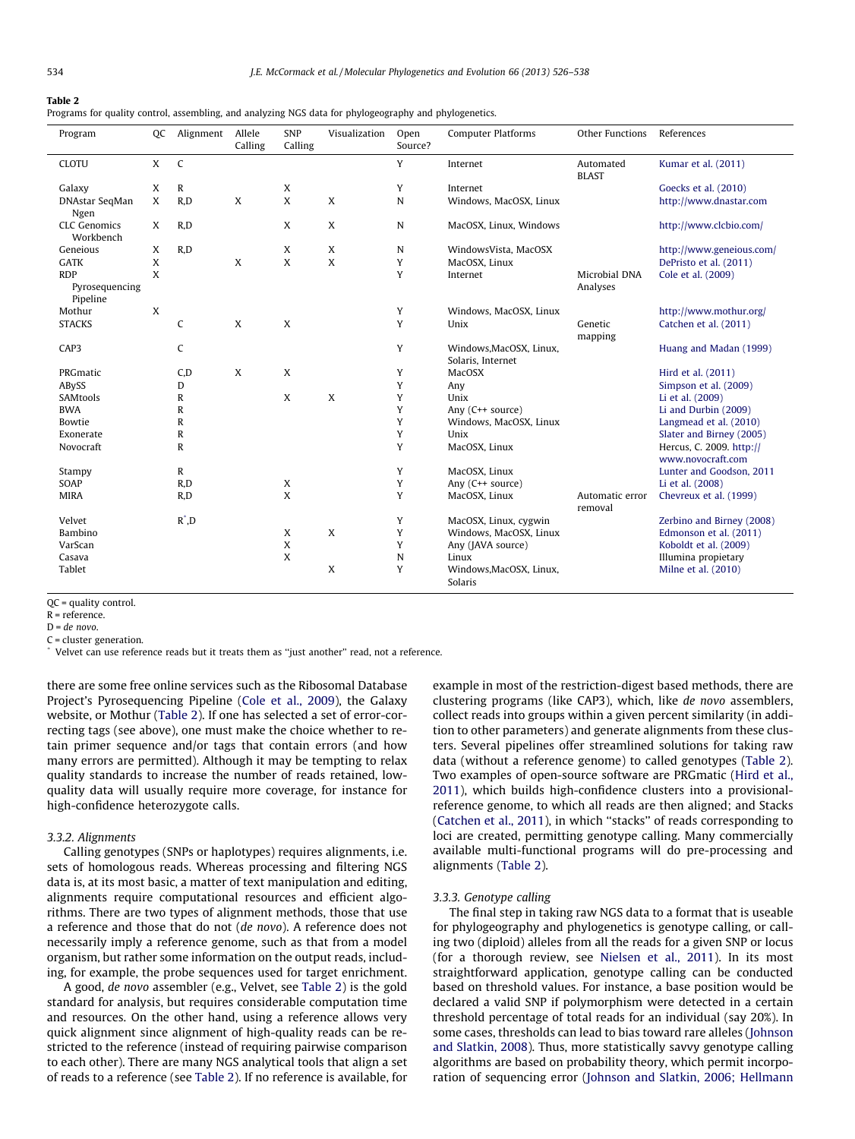#### Table 2

| Programs for quality control, assembling, and analyzing NGS data for phylogeography and phylogenetics. |  |  |  |  |
|--------------------------------------------------------------------------------------------------------|--|--|--|--|
|                                                                                                        |  |  |  |  |
|                                                                                                        |  |  |  |  |
|                                                                                                        |  |  |  |  |

| $\mathsf{X}$<br>C<br>Y<br><b>CLOTU</b><br>Internet<br>Kumar et al. (2011)<br>Automated<br><b>BLAST</b><br>$\mathbb{R}$<br>Y<br>Galaxy<br>X<br>X<br>Internet<br>Goecks et al. (2010)<br>R, D<br>X<br>$\mathsf{x}$<br>X<br>X<br>DNAstar SeqMan<br>N<br>Windows, MacOSX, Linux<br>http://www.dnastar.com<br>Ngen<br><b>CLC</b> Genomics<br>R, D<br>X<br>N<br>X<br>X<br>MacOSX, Linux, Windows<br>http://www.clcbio.com/<br>Workbench<br>R, D<br>X<br>N<br>X<br>X<br>WindowsVista, MacOSX<br>Geneious<br>http://www.geneious.com/<br>X<br>X<br>X<br>X<br>Y<br><b>GATK</b><br>MacOSX, Linux<br>DePristo et al. (2011)<br>X<br>Y<br><b>RDP</b><br>Microbial DNA<br>Internet<br>Cole et al. (2009)<br>Pyrosequencing<br>Analyses<br>Pipeline<br>Y<br>Mothur<br>X<br>Windows, MacOSX, Linux<br>http://www.mothur.org/<br>$\mathsf C$<br>$\mathsf{X}$<br>X<br>Y<br><b>STACKS</b><br>Genetic<br>Catchen et al. (2011)<br>Unix<br>mapping<br>C<br>Y<br>CAP3<br>Windows, MacOSX, Linux,<br>Huang and Madan (1999)<br>Solaris, Internet<br>X<br>C, D<br>X<br>Y<br>MacOSX<br>PRGmatic<br>Hird et al. (2011)<br>Y<br>D<br>Simpson et al. (2009)<br>ABySS<br>Any<br>X<br>R<br>X<br>Y<br>SAMtools<br>Unix<br>Li et al. (2009)<br>R<br>Y<br><b>BWA</b><br>Any (C++ source)<br>Li and Durbin (2009)<br>Y<br>R<br>Windows, MacOSX, Linux<br><b>Bowtie</b><br>Langmead et al. (2010)<br>R<br>Y<br>Unix<br>Slater and Birney (2005)<br>Exonerate<br>R<br>Y<br>MacOSX, Linux<br>Hercus, C. 2009. http://<br>Novocraft<br>www.novocraft.com<br>R<br>Y<br>MacOSX. Linux<br>Lunter and Goodson, 2011<br>Stampy<br>R, D<br>Y<br>SOAP<br>X<br>Any (C++ source)<br>Li et al. (2008)<br>X<br><b>MIRA</b><br>R, D<br>Y<br>MacOSX, Linux<br>Automatic error<br>Chevreux et al. (1999)<br>removal<br>$R^*$ , $D$<br>Velvet<br>Y<br>MacOSX, Linux, cygwin<br>Zerbino and Birney (2008)<br>X<br>Y<br>Windows, MacOSX, Linux<br><b>Bambino</b><br>X<br>Edmonson et al. (2011)<br>X<br>Y<br>VarScan<br>Any (JAVA source)<br>Koboldt et al. (2009)<br>X<br>N<br>Linux<br>Illumina propietary<br>Casava<br>X<br>Y<br>Tablet<br>Windows, MacOSX, Linux,<br>Milne et al. (2010) | Program | <b>OC</b> | Alignment | Allele<br>Calling | <b>SNP</b><br>Calling | Visualization | Open<br>Source? | <b>Computer Platforms</b> | Other Functions | References |
|----------------------------------------------------------------------------------------------------------------------------------------------------------------------------------------------------------------------------------------------------------------------------------------------------------------------------------------------------------------------------------------------------------------------------------------------------------------------------------------------------------------------------------------------------------------------------------------------------------------------------------------------------------------------------------------------------------------------------------------------------------------------------------------------------------------------------------------------------------------------------------------------------------------------------------------------------------------------------------------------------------------------------------------------------------------------------------------------------------------------------------------------------------------------------------------------------------------------------------------------------------------------------------------------------------------------------------------------------------------------------------------------------------------------------------------------------------------------------------------------------------------------------------------------------------------------------------------------------------------------------------------------------------------------------------------------------------------------------------------------------------------------------------------------------------------------------------------------------------------------------------------------------------------------------------------------------------------------------------------------------------------------------------------------------------------------------------------------------------------------------------------|---------|-----------|-----------|-------------------|-----------------------|---------------|-----------------|---------------------------|-----------------|------------|
|                                                                                                                                                                                                                                                                                                                                                                                                                                                                                                                                                                                                                                                                                                                                                                                                                                                                                                                                                                                                                                                                                                                                                                                                                                                                                                                                                                                                                                                                                                                                                                                                                                                                                                                                                                                                                                                                                                                                                                                                                                                                                                                                        |         |           |           |                   |                       |               |                 |                           |                 |            |
|                                                                                                                                                                                                                                                                                                                                                                                                                                                                                                                                                                                                                                                                                                                                                                                                                                                                                                                                                                                                                                                                                                                                                                                                                                                                                                                                                                                                                                                                                                                                                                                                                                                                                                                                                                                                                                                                                                                                                                                                                                                                                                                                        |         |           |           |                   |                       |               |                 |                           |                 |            |
|                                                                                                                                                                                                                                                                                                                                                                                                                                                                                                                                                                                                                                                                                                                                                                                                                                                                                                                                                                                                                                                                                                                                                                                                                                                                                                                                                                                                                                                                                                                                                                                                                                                                                                                                                                                                                                                                                                                                                                                                                                                                                                                                        |         |           |           |                   |                       |               |                 |                           |                 |            |
|                                                                                                                                                                                                                                                                                                                                                                                                                                                                                                                                                                                                                                                                                                                                                                                                                                                                                                                                                                                                                                                                                                                                                                                                                                                                                                                                                                                                                                                                                                                                                                                                                                                                                                                                                                                                                                                                                                                                                                                                                                                                                                                                        |         |           |           |                   |                       |               |                 |                           |                 |            |
|                                                                                                                                                                                                                                                                                                                                                                                                                                                                                                                                                                                                                                                                                                                                                                                                                                                                                                                                                                                                                                                                                                                                                                                                                                                                                                                                                                                                                                                                                                                                                                                                                                                                                                                                                                                                                                                                                                                                                                                                                                                                                                                                        |         |           |           |                   |                       |               |                 |                           |                 |            |
|                                                                                                                                                                                                                                                                                                                                                                                                                                                                                                                                                                                                                                                                                                                                                                                                                                                                                                                                                                                                                                                                                                                                                                                                                                                                                                                                                                                                                                                                                                                                                                                                                                                                                                                                                                                                                                                                                                                                                                                                                                                                                                                                        |         |           |           |                   |                       |               |                 |                           |                 |            |
|                                                                                                                                                                                                                                                                                                                                                                                                                                                                                                                                                                                                                                                                                                                                                                                                                                                                                                                                                                                                                                                                                                                                                                                                                                                                                                                                                                                                                                                                                                                                                                                                                                                                                                                                                                                                                                                                                                                                                                                                                                                                                                                                        |         |           |           |                   |                       |               |                 |                           |                 |            |
|                                                                                                                                                                                                                                                                                                                                                                                                                                                                                                                                                                                                                                                                                                                                                                                                                                                                                                                                                                                                                                                                                                                                                                                                                                                                                                                                                                                                                                                                                                                                                                                                                                                                                                                                                                                                                                                                                                                                                                                                                                                                                                                                        |         |           |           |                   |                       |               |                 |                           |                 |            |
|                                                                                                                                                                                                                                                                                                                                                                                                                                                                                                                                                                                                                                                                                                                                                                                                                                                                                                                                                                                                                                                                                                                                                                                                                                                                                                                                                                                                                                                                                                                                                                                                                                                                                                                                                                                                                                                                                                                                                                                                                                                                                                                                        |         |           |           |                   |                       |               |                 |                           |                 |            |
|                                                                                                                                                                                                                                                                                                                                                                                                                                                                                                                                                                                                                                                                                                                                                                                                                                                                                                                                                                                                                                                                                                                                                                                                                                                                                                                                                                                                                                                                                                                                                                                                                                                                                                                                                                                                                                                                                                                                                                                                                                                                                                                                        |         |           |           |                   |                       |               |                 |                           |                 |            |
|                                                                                                                                                                                                                                                                                                                                                                                                                                                                                                                                                                                                                                                                                                                                                                                                                                                                                                                                                                                                                                                                                                                                                                                                                                                                                                                                                                                                                                                                                                                                                                                                                                                                                                                                                                                                                                                                                                                                                                                                                                                                                                                                        |         |           |           |                   |                       |               |                 |                           |                 |            |
|                                                                                                                                                                                                                                                                                                                                                                                                                                                                                                                                                                                                                                                                                                                                                                                                                                                                                                                                                                                                                                                                                                                                                                                                                                                                                                                                                                                                                                                                                                                                                                                                                                                                                                                                                                                                                                                                                                                                                                                                                                                                                                                                        |         |           |           |                   |                       |               |                 |                           |                 |            |
|                                                                                                                                                                                                                                                                                                                                                                                                                                                                                                                                                                                                                                                                                                                                                                                                                                                                                                                                                                                                                                                                                                                                                                                                                                                                                                                                                                                                                                                                                                                                                                                                                                                                                                                                                                                                                                                                                                                                                                                                                                                                                                                                        |         |           |           |                   |                       |               |                 |                           |                 |            |
|                                                                                                                                                                                                                                                                                                                                                                                                                                                                                                                                                                                                                                                                                                                                                                                                                                                                                                                                                                                                                                                                                                                                                                                                                                                                                                                                                                                                                                                                                                                                                                                                                                                                                                                                                                                                                                                                                                                                                                                                                                                                                                                                        |         |           |           |                   |                       |               |                 |                           |                 |            |
|                                                                                                                                                                                                                                                                                                                                                                                                                                                                                                                                                                                                                                                                                                                                                                                                                                                                                                                                                                                                                                                                                                                                                                                                                                                                                                                                                                                                                                                                                                                                                                                                                                                                                                                                                                                                                                                                                                                                                                                                                                                                                                                                        |         |           |           |                   |                       |               |                 |                           |                 |            |
|                                                                                                                                                                                                                                                                                                                                                                                                                                                                                                                                                                                                                                                                                                                                                                                                                                                                                                                                                                                                                                                                                                                                                                                                                                                                                                                                                                                                                                                                                                                                                                                                                                                                                                                                                                                                                                                                                                                                                                                                                                                                                                                                        |         |           |           |                   |                       |               |                 |                           |                 |            |
|                                                                                                                                                                                                                                                                                                                                                                                                                                                                                                                                                                                                                                                                                                                                                                                                                                                                                                                                                                                                                                                                                                                                                                                                                                                                                                                                                                                                                                                                                                                                                                                                                                                                                                                                                                                                                                                                                                                                                                                                                                                                                                                                        |         |           |           |                   |                       |               |                 |                           |                 |            |
|                                                                                                                                                                                                                                                                                                                                                                                                                                                                                                                                                                                                                                                                                                                                                                                                                                                                                                                                                                                                                                                                                                                                                                                                                                                                                                                                                                                                                                                                                                                                                                                                                                                                                                                                                                                                                                                                                                                                                                                                                                                                                                                                        |         |           |           |                   |                       |               |                 |                           |                 |            |
|                                                                                                                                                                                                                                                                                                                                                                                                                                                                                                                                                                                                                                                                                                                                                                                                                                                                                                                                                                                                                                                                                                                                                                                                                                                                                                                                                                                                                                                                                                                                                                                                                                                                                                                                                                                                                                                                                                                                                                                                                                                                                                                                        |         |           |           |                   |                       |               |                 |                           |                 |            |
|                                                                                                                                                                                                                                                                                                                                                                                                                                                                                                                                                                                                                                                                                                                                                                                                                                                                                                                                                                                                                                                                                                                                                                                                                                                                                                                                                                                                                                                                                                                                                                                                                                                                                                                                                                                                                                                                                                                                                                                                                                                                                                                                        |         |           |           |                   |                       |               |                 |                           |                 |            |
|                                                                                                                                                                                                                                                                                                                                                                                                                                                                                                                                                                                                                                                                                                                                                                                                                                                                                                                                                                                                                                                                                                                                                                                                                                                                                                                                                                                                                                                                                                                                                                                                                                                                                                                                                                                                                                                                                                                                                                                                                                                                                                                                        |         |           |           |                   |                       |               |                 |                           |                 |            |
|                                                                                                                                                                                                                                                                                                                                                                                                                                                                                                                                                                                                                                                                                                                                                                                                                                                                                                                                                                                                                                                                                                                                                                                                                                                                                                                                                                                                                                                                                                                                                                                                                                                                                                                                                                                                                                                                                                                                                                                                                                                                                                                                        |         |           |           |                   |                       |               |                 |                           |                 |            |
|                                                                                                                                                                                                                                                                                                                                                                                                                                                                                                                                                                                                                                                                                                                                                                                                                                                                                                                                                                                                                                                                                                                                                                                                                                                                                                                                                                                                                                                                                                                                                                                                                                                                                                                                                                                                                                                                                                                                                                                                                                                                                                                                        |         |           |           |                   |                       |               |                 |                           |                 |            |
|                                                                                                                                                                                                                                                                                                                                                                                                                                                                                                                                                                                                                                                                                                                                                                                                                                                                                                                                                                                                                                                                                                                                                                                                                                                                                                                                                                                                                                                                                                                                                                                                                                                                                                                                                                                                                                                                                                                                                                                                                                                                                                                                        |         |           |           |                   |                       |               |                 |                           |                 |            |
|                                                                                                                                                                                                                                                                                                                                                                                                                                                                                                                                                                                                                                                                                                                                                                                                                                                                                                                                                                                                                                                                                                                                                                                                                                                                                                                                                                                                                                                                                                                                                                                                                                                                                                                                                                                                                                                                                                                                                                                                                                                                                                                                        |         |           |           |                   |                       |               |                 | Solaris                   |                 |            |

QC = quality control.

R = reference.

 $D = de novo$ 

C = cluster generation.

Velvet can use reference reads but it treats them as "just another" read, not a reference.

there are some free online services such as the Ribosomal Database Project's Pyrosequencing Pipeline ([Cole et al., 2009](#page-10-0)), the Galaxy website, or Mothur [\(Table 2\)](#page-8-0). If one has selected a set of error-correcting tags (see above), one must make the choice whether to retain primer sequence and/or tags that contain errors (and how many errors are permitted). Although it may be tempting to relax quality standards to increase the number of reads retained, lowquality data will usually require more coverage, for instance for high-confidence heterozygote calls.

#### 3.3.2. Alignments

Calling genotypes (SNPs or haplotypes) requires alignments, i.e. sets of homologous reads. Whereas processing and filtering NGS data is, at its most basic, a matter of text manipulation and editing, alignments require computational resources and efficient algorithms. There are two types of alignment methods, those that use a reference and those that do not (de novo). A reference does not necessarily imply a reference genome, such as that from a model organism, but rather some information on the output reads, including, for example, the probe sequences used for target enrichment.

<span id="page-8-0"></span>A good, de novo assembler (e.g., Velvet, see [Table 2](#page-8-0)) is the gold standard for analysis, but requires considerable computation time and resources. On the other hand, using a reference allows very quick alignment since alignment of high-quality reads can be restricted to the reference (instead of requiring pairwise comparison to each other). There are many NGS analytical tools that align a set of reads to a reference (see [Table 2](#page-8-0)). If no reference is available, for example in most of the restriction-digest based methods, there are clustering programs (like CAP3), which, like de novo assemblers, collect reads into groups within a given percent similarity (in addition to other parameters) and generate alignments from these clusters. Several pipelines offer streamlined solutions for taking raw data (without a reference genome) to called genotypes ([Table 2\)](#page-8-0). Two examples of open-source software are PRGmatic [\(Hird et al.,](#page-10-0) [2011\)](#page-10-0), which builds high-confidence clusters into a provisionalreference genome, to which all reads are then aligned; and Stacks ([Catchen et al., 2011](#page-10-0)), in which ''stacks'' of reads corresponding to loci are created, permitting genotype calling. Many commercially available multi-functional programs will do pre-processing and alignments [\(Table 2](#page-8-0)).

## 3.3.3. Genotype calling

The final step in taking raw NGS data to a format that is useable for phylogeography and phylogenetics is genotype calling, or calling two (diploid) alleles from all the reads for a given SNP or locus (for a thorough review, see [Nielsen et al., 2011\)](#page-11-0). In its most straightforward application, genotype calling can be conducted based on threshold values. For instance, a base position would be declared a valid SNP if polymorphism were detected in a certain threshold percentage of total reads for an individual (say 20%). In some cases, thresholds can lead to bias toward rare alleles ([Johnson](#page-10-0) [and Slatkin, 2008\)](#page-10-0). Thus, more statistically savvy genotype calling algorithms are based on probability theory, which permit incorporation of sequencing error ([Johnson and Slatkin, 2006; Hellmann](#page-10-0)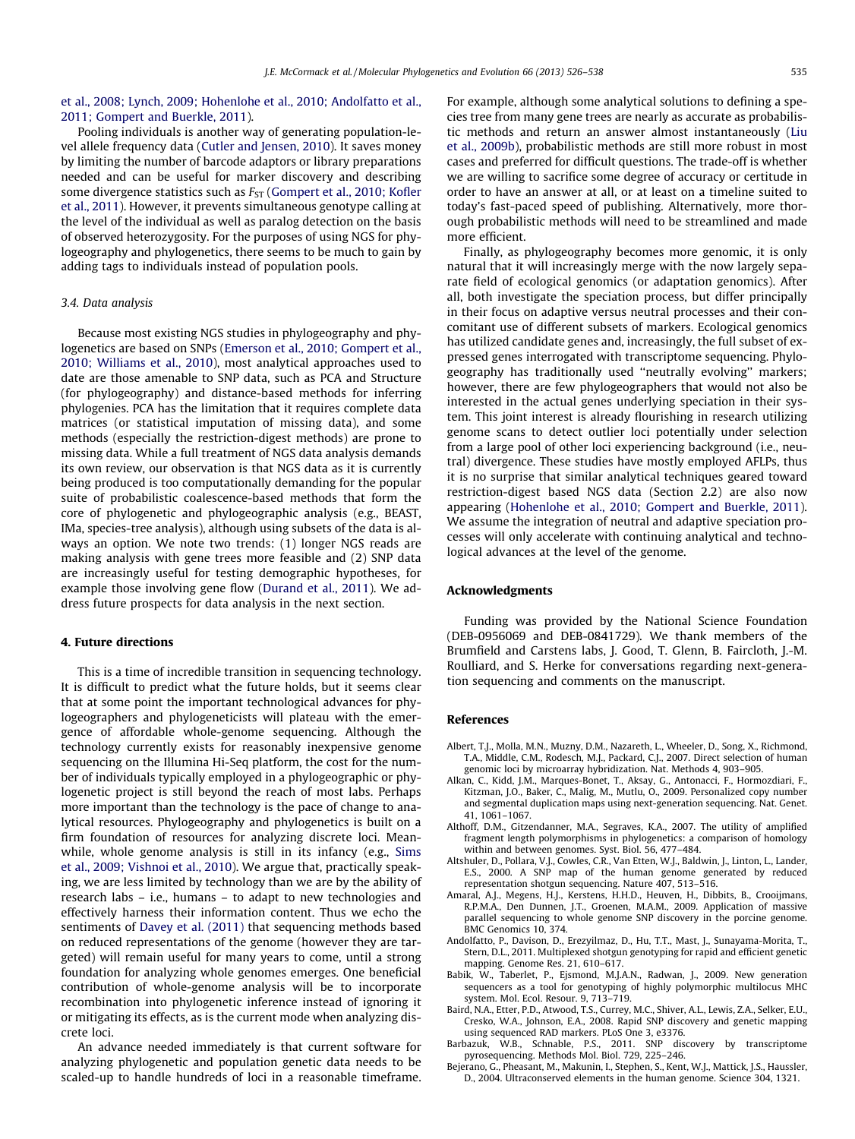[et al., 2008; Lynch, 2009; Hohenlohe et al., 2010; Andolfatto et al.,](#page-10-0) [2011; Gompert and Buerkle, 2011](#page-10-0)).

Pooling individuals is another way of generating population-level allele frequency data [\(Cutler and Jensen, 2010\)](#page-10-0). It saves money by limiting the number of barcode adaptors or library preparations needed and can be useful for marker discovery and describing some divergence statistics such as  $F_{ST}$  [\(Gompert et al., 2010; Kofler](#page-10-0) [et al., 2011](#page-10-0)). However, it prevents simultaneous genotype calling at the level of the individual as well as paralog detection on the basis of observed heterozygosity. For the purposes of using NGS for phylogeography and phylogenetics, there seems to be much to gain by adding tags to individuals instead of population pools.

#### 3.4. Data analysis

Because most existing NGS studies in phylogeography and phylogenetics are based on SNPs [\(Emerson et al., 2010; Gompert et al.,](#page-10-0) [2010; Williams et al., 2010](#page-10-0)), most analytical approaches used to date are those amenable to SNP data, such as PCA and Structure (for phylogeography) and distance-based methods for inferring phylogenies. PCA has the limitation that it requires complete data matrices (or statistical imputation of missing data), and some methods (especially the restriction-digest methods) are prone to missing data. While a full treatment of NGS data analysis demands its own review, our observation is that NGS data as it is currently being produced is too computationally demanding for the popular suite of probabilistic coalescence-based methods that form the core of phylogenetic and phylogeographic analysis (e.g., BEAST, IMa, species-tree analysis), although using subsets of the data is always an option. We note two trends: (1) longer NGS reads are making analysis with gene trees more feasible and (2) SNP data are increasingly useful for testing demographic hypotheses, for example those involving gene flow [\(Durand et al., 2011](#page-10-0)). We address future prospects for data analysis in the next section.

### 4. Future directions

This is a time of incredible transition in sequencing technology. It is difficult to predict what the future holds, but it seems clear that at some point the important technological advances for phylogeographers and phylogeneticists will plateau with the emergence of affordable whole-genome sequencing. Although the technology currently exists for reasonably inexpensive genome sequencing on the Illumina Hi-Seq platform, the cost for the number of individuals typically employed in a phylogeographic or phylogenetic project is still beyond the reach of most labs. Perhaps more important than the technology is the pace of change to analytical resources. Phylogeography and phylogenetics is built on a firm foundation of resources for analyzing discrete loci. Meanwhile, whole genome analysis is still in its infancy (e.g., [Sims](#page-11-0) [et al., 2009; Vishnoi et al., 2010](#page-11-0)). We argue that, practically speaking, we are less limited by technology than we are by the ability of research labs – i.e., humans – to adapt to new technologies and effectively harness their information content. Thus we echo the sentiments of [Davey et al. \(2011\)](#page-10-0) that sequencing methods based on reduced representations of the genome (however they are targeted) will remain useful for many years to come, until a strong foundation for analyzing whole genomes emerges. One beneficial contribution of whole-genome analysis will be to incorporate recombination into phylogenetic inference instead of ignoring it or mitigating its effects, as is the current mode when analyzing discrete loci.

<span id="page-9-1"></span><span id="page-9-0"></span>An advance needed immediately is that current software for analyzing phylogenetic and population genetic data needs to be scaled-up to handle hundreds of loci in a reasonable timeframe. For example, although some analytical solutions to defining a species tree from many gene trees are nearly as accurate as probabilistic methods and return an answer almost instantaneously [\(Liu](#page-11-0) [et al., 2009b\)](#page-11-0), probabilistic methods are still more robust in most cases and preferred for difficult questions. The trade-off is whether we are willing to sacrifice some degree of accuracy or certitude in order to have an answer at all, or at least on a timeline suited to today's fast-paced speed of publishing. Alternatively, more thorough probabilistic methods will need to be streamlined and made more efficient.

Finally, as phylogeography becomes more genomic, it is only natural that it will increasingly merge with the now largely separate field of ecological genomics (or adaptation genomics). After all, both investigate the speciation process, but differ principally in their focus on adaptive versus neutral processes and their concomitant use of different subsets of markers. Ecological genomics has utilized candidate genes and, increasingly, the full subset of expressed genes interrogated with transcriptome sequencing. Phylogeography has traditionally used ''neutrally evolving'' markers; however, there are few phylogeographers that would not also be interested in the actual genes underlying speciation in their system. This joint interest is already flourishing in research utilizing genome scans to detect outlier loci potentially under selection from a large pool of other loci experiencing background (i.e., neutral) divergence. These studies have mostly employed AFLPs, thus it is no surprise that similar analytical techniques geared toward restriction-digest based NGS data (Section 2.2) are also now appearing ([Hohenlohe et al., 2010; Gompert and Buerkle, 2011\)](#page-10-0). We assume the integration of neutral and adaptive speciation processes will only accelerate with continuing analytical and technological advances at the level of the genome.

#### Acknowledgments

Funding was provided by the National Science Foundation (DEB-0956069 and DEB-0841729). We thank members of the Brumfield and Carstens labs, J. Good, T. Glenn, B. Faircloth, J.-M. Roulliard, and S. Herke for conversations regarding next-generation sequencing and comments on the manuscript.

#### References

- Albert, T.J., Molla, M.N., Muzny, D.M., Nazareth, L., Wheeler, D., Song, X., Richmond, T.A., Middle, C.M., Rodesch, M.J., Packard, C.J., 2007. Direct selection of human genomic loci by microarray hybridization. Nat. Methods 4, 903–905.
- Alkan, C., Kidd, J.M., Marques-Bonet, T., Aksay, G., Antonacci, F., Hormozdiari, F., Kitzman, J.O., Baker, C., Malig, M., Mutlu, O., 2009. Personalized copy number and segmental duplication maps using next-generation sequencing. Nat. Genet. 41, 1061–1067.
- Althoff, D.M., Gitzendanner, M.A., Segraves, K.A., 2007. The utility of amplified fragment length polymorphisms in phylogenetics: a comparison of homology within and between genomes. Syst. Biol. 56, 477–484.
- Altshuler, D., Pollara, V.J., Cowles, C.R., Van Etten, W.J., Baldwin, J., Linton, L., Lander, E.S., 2000. A SNP map of the human genome generated by reduced representation shotgun sequencing. Nature 407, 513–516.
- Amaral, A.J., Megens, H.J., Kerstens, H.H.D., Heuven, H., Dibbits, B., Crooijmans, R.P.M.A., Den Dunnen, J.T., Groenen, M.A.M., 2009. Application of massive parallel sequencing to whole genome SNP discovery in the porcine genome. BMC Genomics 10, 374.
- Andolfatto, P., Davison, D., Erezyilmaz, D., Hu, T.T., Mast, J., Sunayama-Morita, T., Stern, D.L., 2011. Multiplexed shotgun genotyping for rapid and efficient genetic mapping. Genome Res. 21, 610–617.
- Babik, W., Taberlet, P., Ejsmond, M.J.A.N., Radwan, J., 2009. New generation sequencers as a tool for genotyping of highly polymorphic multilocus MHC system. Mol. Ecol. Resour. 9, 713–719.
- Baird, N.A., Etter, P.D., Atwood, T.S., Currey, M.C., Shiver, A.L., Lewis, Z.A., Selker, E.U., Cresko, W.A., Johnson, E.A., 2008. Rapid SNP discovery and genetic mapping using sequenced RAD markers. PLoS One 3, e3376.
- Barbazuk, W.B., Schnable, P.S., 2011. SNP discovery by transcriptome pyrosequencing. Methods Mol. Biol. 729, 225–246.
- Bejerano, G., Pheasant, M., Makunin, I., Stephen, S., Kent, W.J., Mattick, J.S., Haussler, D., 2004. Ultraconserved elements in the human genome. Science 304, 1321.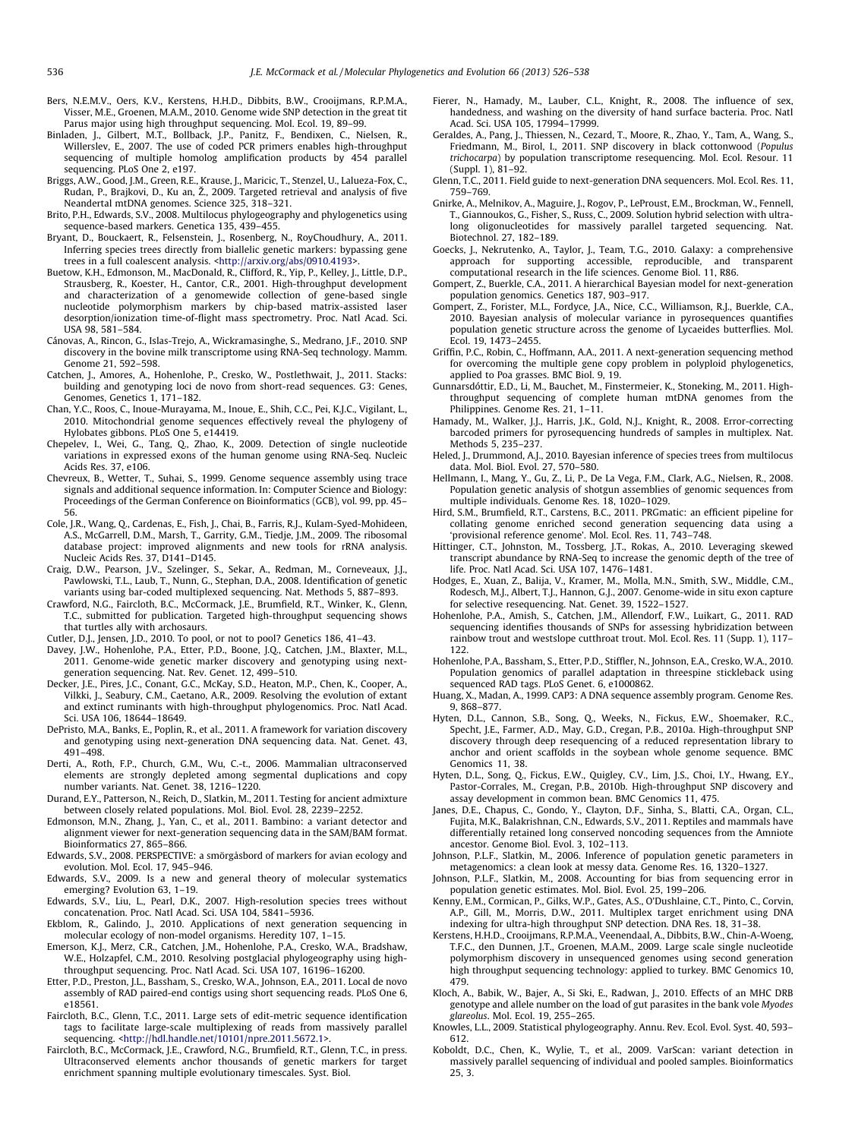- Bers, N.E.M.V., Oers, K.V., Kerstens, H.H.D., Dibbits, B.W., Crooijmans, R.P.M.A., Visser, M.E., Groenen, M.A.M., 2010. Genome wide SNP detection in the great tit Parus major using high throughput sequencing. Mol. Ecol. 19, 89–99.
- Binladen, J., Gilbert, M.T., Bollback, J.P., Panitz, F., Bendixen, C., Nielsen, R., Willerslev, E., 2007. The use of coded PCR primers enables high-throughput sequencing of multiple homolog amplification products by 454 parallel sequencing. PLoS One 2, e197.
- Briggs, A.W., Good, J.M., Green, R.E., Krause, J., Maricic, T., Stenzel, U., Lalueza-Fox, C., Rudan, P., Brajkovi, D., Ku an, Ž., 2009. Targeted retrieval and analysis of five Neandertal mtDNA genomes. Science 325, 318–321.
- Brito, P.H., Edwards, S.V., 2008. Multilocus phylogeography and phylogenetics using sequence-based markers. Genetica 135, 439–455.
- Bryant, D., Bouckaert, R., Felsenstein, J., Rosenberg, N., RoyChoudhury, A., 2011. Inferring species trees directly from biallelic genetic markers: bypassing gene trees in a full coalescent analysis. <[http://arxiv.org/abs/0910.4193>](http://arxiv.org/abs/0910.4193).
- Buetow, K.H., Edmonson, M., MacDonald, R., Clifford, R., Yip, P., Kelley, J., Little, D.P., Strausberg, R., Koester, H., Cantor, C.R., 2001. High-throughput development and characterization of a genomewide collection of gene-based single nucleotide polymorphism markers by chip-based matrix-assisted laser desorption/ionization time-of-flight mass spectrometry. Proc. Natl Acad. Sci. USA 98, 581–584.
- Cánovas, A., Rincon, G., Islas-Trejo, A., Wickramasinghe, S., Medrano, J.F., 2010. SNP discovery in the bovine milk transcriptome using RNA-Seq technology. Mamm. Genome 21, 592–598.
- Catchen, J., Amores, A., Hohenlohe, P., Cresko, W., Postlethwait, J., 2011. Stacks: building and genotyping loci de novo from short-read sequences. G3: Genes, Genomes, Genetics 1, 171–182.
- Chan, Y.C., Roos, C., Inoue-Murayama, M., Inoue, E., Shih, C.C., Pei, K.J.C., Vigilant, L., 2010. Mitochondrial genome sequences effectively reveal the phylogeny of Hylobates gibbons. PLoS One 5, e14419.
- Chepelev, I., Wei, G., Tang, Q., Zhao, K., 2009. Detection of single nucleotide variations in expressed exons of the human genome using RNA-Seq. Nucleic Acids Res. 37, e106.
- Chevreux, B., Wetter, T., Suhai, S., 1999. Genome sequence assembly using trace signals and additional sequence information. In: Computer Science and Biology: Proceedings of the German Conference on Bioinformatics (GCB), vol. 99, pp. 45– 56.
- Cole, J.R., Wang, Q., Cardenas, E., Fish, J., Chai, B., Farris, R.J., Kulam-Syed-Mohideen, A.S., McGarrell, D.M., Marsh, T., Garrity, G.M., Tiedje, J.M., 2009. The ribosomal database project: improved alignments and new tools for rRNA analysis. Nucleic Acids Res. 37, D141–D145.
- Craig, D.W., Pearson, J.V., Szelinger, S., Sekar, A., Redman, M., Corneveaux, J.J., Pawlowski, T.L., Laub, T., Nunn, G., Stephan, D.A., 2008. Identification of genetic variants using bar-coded multiplexed sequencing. Nat. Methods 5, 887–893.
- Crawford, N.G., Faircloth, B.C., McCormack, J.E., Brumfield, R.T., Winker, K., Glenn, T.C., submitted for publication. Targeted high-throughput sequencing shows that turtles ally with archosaurs.
- Cutler, D.J., Jensen, J.D., 2010. To pool, or not to pool? Genetics 186, 41–43.
- Davey, J.W., Hohenlohe, P.A., Etter, P.D., Boone, J.Q., Catchen, J.M., Blaxter, M.L., 2011. Genome-wide genetic marker discovery and genotyping using nextgeneration sequencing. Nat. Rev. Genet. 12, 499–510.
- Decker, J.E., Pires, J.C., Conant, G.C., McKay, S.D., Heaton, M.P., Chen, K., Cooper, A., Vilkki, J., Seabury, C.M., Caetano, A.R., 2009. Resolving the evolution of extant and extinct ruminants with high-throughput phylogenomics. Proc. Natl Acad. Sci. USA 106, 18644–18649.
- DePristo, M.A., Banks, E., Poplin, R., et al., 2011. A framework for variation discovery and genotyping using next-generation DNA sequencing data. Nat. Genet. 43, 491–498.
- Derti, A., Roth, F.P., Church, G.M., Wu, C.-t., 2006. Mammalian ultraconserved elements are strongly depleted among segmental duplications and copy number variants. Nat. Genet. 38, 1216–1220.
- Durand, E.Y., Patterson, N., Reich, D., Slatkin, M., 2011. Testing for ancient admixture between closely related populations. Mol. Biol. Evol. 28, 2239–2252.
- Edmonson, M.N., Zhang, J., Yan, C., et al., 2011. Bambino: a variant detector and alignment viewer for next-generation sequencing data in the SAM/BAM format. Bioinformatics 27, 865–866.
- <span id="page-10-1"></span>Edwards, S.V., 2008. PERSPECTIVE: a smörgåsbord of markers for avian ecology and evolution. Mol. Ecol. 17, 945–946.
- Edwards, S.V., 2009. Is a new and general theory of molecular systematics emerging? Evolution 63, 1–19.
- Edwards, S.V., Liu, L., Pearl, D.K., 2007. High-resolution species trees without concatenation. Proc. Natl Acad. Sci. USA 104, 5841–5936.
- Ekblom, R., Galindo, J., 2010. Applications of next generation sequencing in molecular ecology of non-model organisms. Heredity 107, 1–15.
- Emerson, K.J., Merz, C.R., Catchen, J.M., Hohenlohe, P.A., Cresko, W.A., Bradshaw, W.E., Holzapfel, C.M., 2010. Resolving postglacial phylogeography using highthroughput sequencing. Proc. Natl Acad. Sci. USA 107, 16196–16200.
- Etter, P.D., Preston, J.L., Bassham, S., Cresko, W.A., Johnson, E.A., 2011. Local de novo assembly of RAD paired-end contigs using short sequencing reads. PLoS One 6, e18561.
- Faircloth, B.C., Glenn, T.C., 2011. Large sets of edit-metric sequence identification tags to facilitate large-scale multiplexing of reads from massively parallel sequencing. [<http://hdl.handle.net/10101/npre.2011.5672.1>](http://hdl.handle.net/10101/npre.2011.5672.1).
- <span id="page-10-0"></span>Faircloth, B.C., McCormack, J.E., Crawford, N.G., Brumfield, R.T., Glenn, T.C., in press. Ultraconserved elements anchor thousands of genetic markers for target enrichment spanning multiple evolutionary timescales. Syst. Biol.
- Fierer, N., Hamady, M., Lauber, C.L., Knight, R., 2008. The influence of sex, handedness, and washing on the diversity of hand surface bacteria. Proc. Natl Acad. Sci. USA 105, 17994–17999.
- Geraldes, A., Pang, J., Thiessen, N., Cezard, T., Moore, R., Zhao, Y., Tam, A., Wang, S., Friedmann, M., Birol, I., 2011. SNP discovery in black cottonwood (Populus trichocarpa) by population transcriptome resequencing. Mol. Ecol. Resour. 11 (Suppl. 1), 81–92.
- Glenn, T.C., 2011. Field guide to next-generation DNA sequencers. Mol. Ecol. Res. 11, 759–769.
- Gnirke, A., Melnikov, A., Maguire, J., Rogov, P., LeProust, E.M., Brockman, W., Fennell, T., Giannoukos, G., Fisher, S., Russ, C., 2009. Solution hybrid selection with ultralong oligonucleotides for massively parallel targeted sequencing. Nat. Biotechnol. 27, 182–189.
- Goecks, J., Nekrutenko, A., Taylor, J., Team, T.G., 2010. Galaxy: a comprehensive approach for supporting accessible, reproducible, and transparent computational research in the life sciences. Genome Biol. 11, R86.
- Gompert, Z., Buerkle, C.A., 2011. A hierarchical Bayesian model for next-generation population genomics. Genetics 187, 903–917.
- Gompert, Z., Forister, M.L., Fordyce, J.A., Nice, C.C., Williamson, R.J., Buerkle, C.A., 2010. Bayesian analysis of molecular variance in pyrosequences quantifies population genetic structure across the genome of Lycaeides butterflies. Mol. Ecol. 19, 1473–2455.
- Griffin, P.C., Robin, C., Hoffmann, A.A., 2011. A next-generation sequencing method for overcoming the multiple gene copy problem in polyploid phylogenetics, applied to Poa grasses. BMC Biol. 9, 19.
- Gunnarsdóttir, E.D., Li, M., Bauchet, M., Finstermeier, K., Stoneking, M., 2011. Highthroughput sequencing of complete human mtDNA genomes from the Philippines. Genome Res. 21, 1–11.
- Hamady, M., Walker, J.J., Harris, J.K., Gold, N.J., Knight, R., 2008. Error-correcting barcoded primers for pyrosequencing hundreds of samples in multiplex. Nat. Methods 5, 235–237.
- Heled, J., Drummond, A.J., 2010. Bayesian inference of species trees from multilocus data. Mol. Biol. Evol. 27, 570–580.
- Hellmann, I., Mang, Y., Gu, Z., Li, P., De La Vega, F.M., Clark, A.G., Nielsen, R., 2008. Population genetic analysis of shotgun assemblies of genomic sequences from multiple individuals. Genome Res. 18, 1020–1029.
- Hird, S.M., Brumfield, R.T., Carstens, B.C., 2011. PRGmatic: an efficient pipeline for collating genome enriched second generation sequencing data using a 'provisional reference genome'. Mol. Ecol. Res. 11, 743–748.
- Hittinger, C.T., Johnston, M., Tossberg, J.T., Rokas, A., 2010. Leveraging skewed transcript abundance by RNA-Seq to increase the genomic depth of the tree of life. Proc. Natl Acad. Sci. USA 107, 1476–1481.
- Hodges, E., Xuan, Z., Balija, V., Kramer, M., Molla, M.N., Smith, S.W., Middle, C.M., Rodesch, M.J., Albert, T.J., Hannon, G.J., 2007. Genome-wide in situ exon capture for selective resequencing. Nat. Genet. 39, 1522–1527.
- Hohenlohe, P.A., Amish, S., Catchen, J.M., Allendorf, F.W., Luikart, G., 2011. RAD sequencing identifies thousands of SNPs for assessing hybridization between rainbow trout and westslope cutthroat trout. Mol. Ecol. Res. 11 (Supp. 1), 117– 122.
- Hohenlohe, P.A., Bassham, S., Etter, P.D., Stiffler, N., Johnson, E.A., Cresko, W.A., 2010. Population genomics of parallel adaptation in threespine stickleback using sequenced RAD tags. PLoS Genet. 6, e1000862.
- Huang, X., Madan, A., 1999. CAP3: A DNA sequence assembly program. Genome Res. 9, 868–877.
- Hyten, D.L., Cannon, S.B., Song, Q., Weeks, N., Fickus, E.W., Shoemaker, R.C., Specht, J.E., Farmer, A.D., May, G.D., Cregan, P.B., 2010a. High-throughput SNP discovery through deep resequencing of a reduced representation library to anchor and orient scaffolds in the soybean whole genome sequence. BMC Genomics 11, 38.
- Hyten, D.L., Song, Q., Fickus, E.W., Quigley, C.V., Lim, J.S., Choi, I.Y., Hwang, E.Y., Pastor-Corrales, M., Cregan, P.B., 2010b. High-throughput SNP discovery and assay development in common bean. BMC Genomics 11, 475.
- Janes, D.E., Chapus, C., Gondo, Y., Clayton, D.F., Sinha, S., Blatti, C.A., Organ, C.L., Fujita, M.K., Balakrishnan, C.N., Edwards, S.V., 2011. Reptiles and mammals have differentially retained long conserved noncoding sequences from the Amniote ancestor. Genome Biol. Evol. 3, 102–113.
- Johnson, P.L.F., Slatkin, M., 2006. Inference of population genetic parameters in metagenomics: a clean look at messy data. Genome Res. 16, 1320–1327.
- Johnson, P.L.F., Slatkin, M., 2008. Accounting for bias from sequencing error in population genetic estimates. Mol. Biol. Evol. 25, 199–206.
- Kenny, E.M., Cormican, P., Gilks, W.P., Gates, A.S., O'Dushlaine, C.T., Pinto, C., Corvin, A.P., Gill, M., Morris, D.W., 2011. Multiplex target enrichment using DNA indexing for ultra-high throughput SNP detection. DNA Res. 18, 31–38.
- Kerstens, H.H.D., Crooijmans, R.P.M.A., Veenendaal, A., Dibbits, B.W., Chin-A-Woeng, T.F.C., den Dunnen, J.T., Groenen, M.A.M., 2009. Large scale single nucleotide polymorphism discovery in unsequenced genomes using second generation high throughput sequencing technology: applied to turkey. BMC Genomics 10, 479.
- Kloch, A., Babik, W., Bajer, A., Si Ski, E., Radwan, J., 2010. Effects of an MHC DRB genotype and allele number on the load of gut parasites in the bank vole Myodes glareolus. Mol. Ecol. 19, 255–265.
- Knowles, L.L., 2009. Statistical phylogeography. Annu. Rev. Ecol. Evol. Syst. 40, 593– 612.
- Koboldt, D.C., Chen, K., Wylie, T., et al., 2009. VarScan: variant detection in massively parallel sequencing of individual and pooled samples. Bioinformatics 25, 3.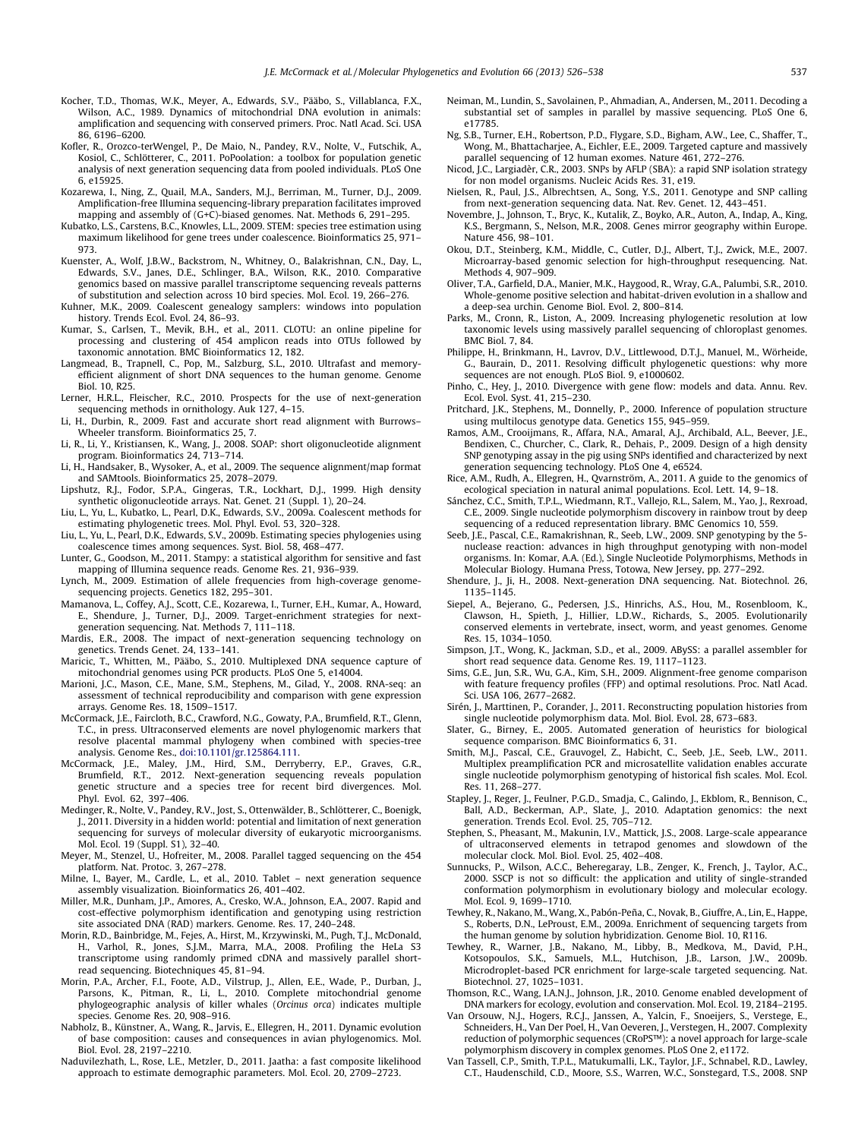- Kocher, T.D., Thomas, W.K., Meyer, A., Edwards, S.V., Pääbo, S., Villablanca, F.X., Wilson, A.C., 1989. Dynamics of mitochondrial DNA evolution in animals: amplification and sequencing with conserved primers. Proc. Natl Acad. Sci. USA 86, 6196–6200.
- Kofler, R., Orozco-terWengel, P., De Maio, N., Pandey, R.V., Nolte, V., Futschik, A., Kosiol, C., Schlötterer, C., 2011. PoPoolation: a toolbox for population genetic analysis of next generation sequencing data from pooled individuals. PLoS One 6, e15925.
- Kozarewa, I., Ning, Z., Quail, M.A., Sanders, M.J., Berriman, M., Turner, D.J., 2009. Amplification-free Illumina sequencing-library preparation facilitates improved mapping and assembly of (G+C)-biased genomes. Nat. Methods 6, 291–295.
- Kubatko, L.S., Carstens, B.C., Knowles, L.L., 2009. STEM: species tree estimation using maximum likelihood for gene trees under coalescence. Bioinformatics 25, 971– 973.
- Kuenster, A., Wolf, J.B.W., Backstrom, N., Whitney, O., Balakrishnan, C.N., Day, L., Edwards, S.V., Janes, D.E., Schlinger, B.A., Wilson, R.K., 2010. Comparative genomics based on massive parallel transcriptome sequencing reveals patterns of substitution and selection across 10 bird species. Mol. Ecol. 19, 266–276.
- Kuhner, M.K., 2009. Coalescent genealogy samplers: windows into population history. Trends Ecol. Evol. 24, 86–93.
- Kumar, S., Carlsen, T., Mevik, B.H., et al., 2011. CLOTU: an online pipeline for processing and clustering of 454 amplicon reads into OTUs followed by taxonomic annotation. BMC Bioinformatics 12, 182.
- Langmead, B., Trapnell, C., Pop, M., Salzburg, S.L., 2010. Ultrafast and memoryefficient alignment of short DNA sequences to the human genome. Genome Biol. 10, R25.
- Lerner, H.R.L., Fleischer, R.C., 2010. Prospects for the use of next-generation sequencing methods in ornithology. Auk 127, 4–15.
- Li, H., Durbin, R., 2009. Fast and accurate short read alignment with Burrows– Wheeler transform. Bioinformatics 25, 7.
- Li, R., Li, Y., Kristiansen, K., Wang, J., 2008. SOAP: short oligonucleotide alignment program. Bioinformatics 24, 713–714.
- Li, H., Handsaker, B., Wysoker, A., et al., 2009. The sequence alignment/map format and SAMtools. Bioinformatics 25, 2078–2079.
- Lipshutz, R.J., Fodor, S.P.A., Gingeras, T.R., Lockhart, D.J., 1999. High density synthetic oligonucleotide arrays. Nat. Genet. 21 (Suppl. 1), 20–24.
- Liu, L., Yu, L., Kubatko, L., Pearl, D.K., Edwards, S.V., 2009a. Coalescent methods for estimating phylogenetic trees. Mol. Phyl. Evol. 53, 320–328.
- Liu, L., Yu, L., Pearl, D.K., Edwards, S.V., 2009b. Estimating species phylogenies using coalescence times among sequences. Syst. Biol. 58, 468–477.
- Lunter, G., Goodson, M., 2011. Stampy: a statistical algorithm for sensitive and fast mapping of Illumina sequence reads. Genome Res. 21, 936–939.
- Lynch, M., 2009. Estimation of allele frequencies from high-coverage genomesequencing projects. Genetics 182, 295–301.
- Mamanova, L., Coffey, A.J., Scott, C.E., Kozarewa, I., Turner, E.H., Kumar, A., Howard, E., Shendure, J., Turner, D.J., 2009. Target-enrichment strategies for nextgeneration sequencing. Nat. Methods 7, 111–118.
- Mardis, E.R., 2008. The impact of next-generation sequencing technology on genetics. Trends Genet. 24, 133–141.
- Maricic, T., Whitten, M., Pääbo, S., 2010. Multiplexed DNA sequence capture of mitochondrial genomes using PCR products. PLoS One 5, e14004.
- Marioni, J.C., Mason, C.E., Mane, S.M., Stephens, M., Gilad, Y., 2008. RNA-seq: an assessment of technical reproducibility and comparison with gene expression arrays. Genome Res. 18, 1509–1517.
- McCormack, J.E., Faircloth, B.C., Crawford, N.G., Gowaty, P.A., Brumfield, R.T., Glenn, T.C., in press. Ultraconserved elements are novel phylogenomic markers that resolve placental mammal phylogeny when combined with species-tree analysis. Genome Res., [doi:10.1101/gr.125864.111](http://dx.doi.org/10.1101/gr.125864.111).
- McCormack, J.E., Maley, J.M., Hird, S.M., Derryberry, E.P., Graves, G.R., Brumfield, R.T., 2012. Next-generation sequencing reveals population genetic structure and a species tree for recent bird divergences. Mol. Phyl. Evol. 62, 397–406.
- Medinger, R., Nolte, V., Pandey, R.V., Jost, S., Ottenwälder, B., Schlötterer, C., Boenigk, J., 2011. Diversity in a hidden world: potential and limitation of next generation sequencing for surveys of molecular diversity of eukaryotic microorganisms. Mol. Ecol. 19 (Suppl. S1), 32–40.
- <span id="page-11-1"></span>Meyer, M., Stenzel, U., Hofreiter, M., 2008. Parallel tagged sequencing on the 454 platform. Nat. Protoc. 3, 267–278.
- Milne, I., Bayer, M., Cardle, L., et al., 2010. Tablet next generation sequence assembly visualization. Bioinformatics 26, 401–402.
- Miller, M.R., Dunham, J.P., Amores, A., Cresko, W.A., Johnson, E.A., 2007. Rapid and cost-effective polymorphism identification and genotyping using restriction site associated DNA (RAD) markers. Genome. Res. 17, 240–248.
- Morin, R.D., Bainbridge, M., Fejes, A., Hirst, M., Krzywinski, M., Pugh, T.J., McDonald, H., Varhol, R., Jones, S.J.M., Marra, M.A., 2008. Profiling the HeLa S3 transcriptome using randomly primed cDNA and massively parallel shortread sequencing. Biotechniques 45, 81–94.
- Morin, P.A., Archer, F.I., Foote, A.D., Vilstrup, J., Allen, E.E., Wade, P., Durban, J., Parsons, K., Pitman, R., Li, L., 2010. Complete mitochondrial genome phylogeographic analysis of killer whales (Orcinus orca) indicates multiple species. Genome Res. 20, 908–916.
- Nabholz, B., Künstner, A., Wang, R., Jarvis, E., Ellegren, H., 2011. Dynamic evolution of base composition: causes and consequences in avian phylogenomics. Mol. Biol. Evol. 28, 2197–2210.
- <span id="page-11-0"></span>Naduvilezhath, L., Rose, L.E., Metzler, D., 2011. Jaatha: a fast composite likelihood approach to estimate demographic parameters. Mol. Ecol. 20, 2709–2723.
- Neiman, M., Lundin, S., Savolainen, P., Ahmadian, A., Andersen, M., 2011. Decoding a substantial set of samples in parallel by massive sequencing. PLoS One 6, e17785.
- Ng, S.B., Turner, E.H., Robertson, P.D., Flygare, S.D., Bigham, A.W., Lee, C., Shaffer, T., Wong, M., Bhattacharjee, A., Eichler, E.E., 2009. Targeted capture and massively parallel sequencing of 12 human exomes. Nature 461, 272–276.
- Nicod, J.C., Largiadèr, C.R., 2003. SNPs by AFLP (SBA): a rapid SNP isolation strategy for non model organisms. Nucleic Acids Res. 31, e19.
- Nielsen, R., Paul, J.S., Albrechtsen, A., Song, Y.S., 2011. Genotype and SNP calling from next-generation sequencing data. Nat. Rev. Genet. 12, 443–451.
- Novembre, J., Johnson, T., Bryc, K., Kutalik, Z., Boyko, A.R., Auton, A., Indap, A., King, K.S., Bergmann, S., Nelson, M.R., 2008. Genes mirror geography within Europe. Nature 456, 98–101.
- Okou, D.T., Steinberg, K.M., Middle, C., Cutler, D.J., Albert, T.J., Zwick, M.E., 2007. Microarray-based genomic selection for high-throughput resequencing. Nat. Methods 4, 907–909.
- Oliver, T.A., Garfield, D.A., Manier, M.K., Haygood, R., Wray, G.A., Palumbi, S.R., 2010. Whole-genome positive selection and habitat-driven evolution in a shallow and a deep-sea urchin. Genome Biol. Evol. 2, 800–814.
- Parks, M., Cronn, R., Liston, A., 2009. Increasing phylogenetic resolution at low taxonomic levels using massively parallel sequencing of chloroplast genomes. BMC Biol. 7, 84.
- Philippe, H., Brinkmann, H., Lavrov, D.V., Littlewood, D.T.J., Manuel, M., Wörheide, G., Baurain, D., 2011. Resolving difficult phylogenetic questions: why more sequences are not enough. PLoS Biol. 9, e1000602.
- Pinho, C., Hey, J., 2010. Divergence with gene flow: models and data. Annu. Rev. Ecol. Evol. Syst. 41, 215–230.
- Pritchard, J.K., Stephens, M., Donnelly, P., 2000. Inference of population structure using multilocus genotype data. Genetics 155, 945–959.
- Ramos, A.M., Crooijmans, R., Affara, N.A., Amaral, A.J., Archibald, A.L., Beever, J.E., Bendixen, C., Churcher, C., Clark, R., Dehais, P., 2009. Design of a high density SNP genotyping assay in the pig using SNPs identified and characterized by next generation sequencing technology. PLoS One 4, e6524.
- Rice, A.M., Rudh, A., Ellegren, H., Qvarnström, A., 2011. A guide to the genomics of ecological speciation in natural animal populations. Ecol. Lett. 14, 9–18.
- Sánchez, C.C., Smith, T.P.L., Wiedmann, R.T., Vallejo, R.L., Salem, M., Yao, J., Rexroad, C.E., 2009. Single nucleotide polymorphism discovery in rainbow trout by deep sequencing of a reduced representation library. BMC Genomics 10, 559.
- Seeb, J.E., Pascal, C.E., Ramakrishnan, R., Seeb, L.W., 2009. SNP genotyping by the 5 nuclease reaction: advances in high throughput genotyping with non-model organisms. In: Komar, A.A. (Ed.), Single Nucleotide Polymorphisms, Methods in Molecular Biology. Humana Press, Totowa, New Jersey, pp. 277–292.
- Shendure, J., Ji, H., 2008. Next-generation DNA sequencing. Nat. Biotechnol. 26, 1135–1145.
- Siepel, A., Bejerano, G., Pedersen, J.S., Hinrichs, A.S., Hou, M., Rosenbloom, K., Clawson, H., Spieth, J., Hillier, L.D.W., Richards, S., 2005. Evolutionarily conserved elements in vertebrate, insect, worm, and yeast genomes. Genome Res. 15, 1034–1050.
- Simpson, J.T., Wong, K., Jackman, S.D., et al., 2009. ABySS: a parallel assembler for short read sequence data. Genome Res. 19, 1117–1123.
- Sims, G.E., Jun, S.R., Wu, G.A., Kim, S.H., 2009. Alignment-free genome comparison with feature frequency profiles (FFP) and optimal resolutions. Proc. Natl Acad. Sci. USA 106, 2677–2682.
- Sirén, J., Marttinen, P., Corander, J., 2011. Reconstructing population histories from single nucleotide polymorphism data. Mol. Biol. Evol. 28, 673–683.
- Slater, G., Birney, E., 2005. Automated generation of heuristics for biological sequence comparison. BMC Bioinformatics 6, 31.
- Smith, M.J., Pascal, C.E., Grauvogel, Z., Habicht, C., Seeb, J.E., Seeb, L.W., 2011. Multiplex preamplification PCR and microsatellite validation enables accurate single nucleotide polymorphism genotyping of historical fish scales. Mol. Ecol. Res. 11, 268–277.
- Stapley, J., Reger, J., Feulner, P.G.D., Smadja, C., Galindo, J., Ekblom, R., Bennison, C., Ball, A.D., Beckerman, A.P., Slate, J., 2010. Adaptation genomics: the next generation. Trends Ecol. Evol. 25, 705–712.
- Stephen, S., Pheasant, M., Makunin, I.V., Mattick, J.S., 2008. Large-scale appearance of ultraconserved elements in tetrapod genomes and slowdown of the molecular clock. Mol. Biol. Evol. 25, 402–408.
- Sunnucks, P., Wilson, A.C.C., Beheregaray, L.B., Zenger, K., French, J., Taylor, A.C., 2000. SSCP is not so difficult: the application and utility of single-stranded conformation polymorphism in evolutionary biology and molecular ecology. Mol. Ecol. 9, 1699–1710.
- Tewhey, R., Nakano, M., Wang, X., Pabón-Peña, C., Novak, B., Giuffre, A., Lin, E., Happe, S., Roberts, D.N., LeProust, E.M., 2009a. Enrichment of sequencing targets from the human genome by solution hybridization. Genome Biol. 10, R116.
- Tewhey, R., Warner, J.B., Nakano, M., Libby, B., Medkova, M., David, P.H., Kotsopoulos, S.K., Samuels, M.L., Hutchison, J.B., Larson, J.W., 2009b. Microdroplet-based PCR enrichment for large-scale targeted sequencing. Nat. Biotechnol. 27, 1025–1031.
- Thomson, R.C., Wang, I.A.N.J., Johnson, J.R., 2010. Genome enabled development of DNA markers for ecology, evolution and conservation. Mol. Ecol. 19, 2184–2195.
- Van Orsouw, N.J., Hogers, R.C.J., Janssen, A., Yalcin, F., Snoeijers, S., Verstege, E., Schneiders, H., Van Der Poel, H., Van Oeveren, J., Verstegen, H., 2007. Complexity reduction of polymorphic sequences (CRoPS™): a novel approach for large-scale polymorphism discovery in complex genomes. PLoS One 2, e1172.
- Van Tassell, C.P., Smith, T.P.L., Matukumalli, L.K., Taylor, J.F., Schnabel, R.D., Lawley, C.T., Haudenschild, C.D., Moore, S.S., Warren, W.C., Sonstegard, T.S., 2008. SNP